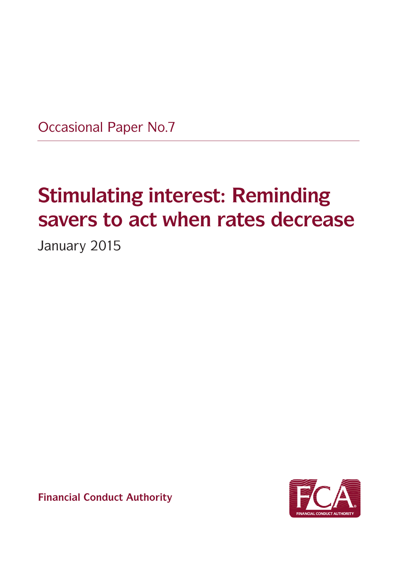Occasional Paper No.7

# **Stimulating interest: Reminding savers to act when rates decrease**

January 2015



**Financial Conduct Authority**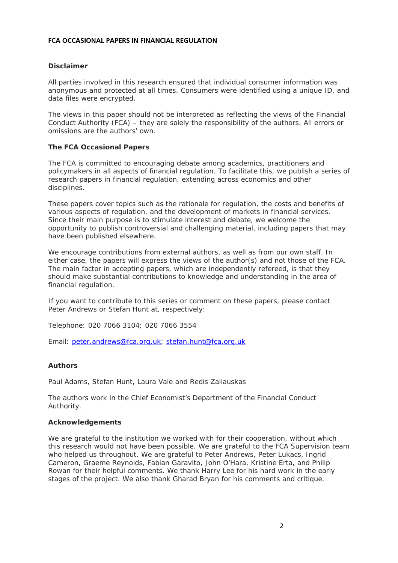#### **FCA OCCASIONAL PAPERS IN FINANCIAL REGULATION**

#### **Disclaimer**

All parties involved in this research ensured that individual consumer information was anonymous and protected at all times. Consumers were identified using a unique ID, and data files were encrypted.

The views in this paper should not be interpreted as reflecting the views of the Financial Conduct Authority (FCA) – they are solely the responsibility of the authors. All errors or omissions are the authors' own.

#### **The FCA Occasional Papers**

The FCA is committed to encouraging debate among academics, practitioners and policymakers in all aspects of financial regulation. To facilitate this, we publish a series of research papers in financial regulation, extending across economics and other disciplines.

These papers cover topics such as the rationale for regulation, the costs and benefits of various aspects of regulation, and the development of markets in financial services. Since their main purpose is to stimulate interest and debate, we welcome the opportunity to publish controversial and challenging material, including papers that may have been published elsewhere.

We encourage contributions from external authors, as well as from our own staff. In either case, the papers will express the views of the author(s) and not those of the FCA. The main factor in accepting papers, which are independently refereed, is that they should make substantial contributions to knowledge and understanding in the area of financial regulation.

If you want to contribute to this series or comment on these papers, please contact Peter Andrews or Stefan Hunt at, respectively:

Telephone: 020 7066 3104; 020 7066 3554

Email: peter.andrews@fca.org.uk; stefan.hunt@fca.org.uk

#### **Authors**

Paul Adams, Stefan Hunt, Laura Vale and Redis Zaliauskas

The authors work in the Chief Economist's Department of the Financial Conduct Authority.

#### **Acknowledgements**

We are grateful to the institution we worked with for their cooperation, without which this research would not have been possible. We are grateful to the FCA Supervision team who helped us throughout. We are grateful to Peter Andrews, Peter Lukacs, Ingrid Cameron, Graeme Reynolds, Fabian Garavito, John O'Hara, Kristine Erta, and Philip Rowan for their helpful comments. We thank Harry Lee for his hard work in the early stages of the project. We also thank Gharad Bryan for his comments and critique.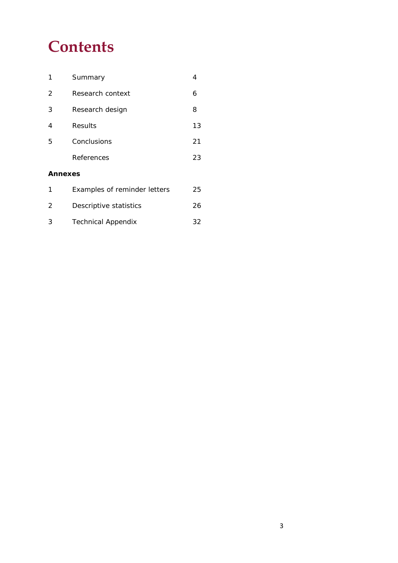# **Contents**

| 1       | Summary                      | 4  |
|---------|------------------------------|----|
| 2       | Research context             | 6  |
| 3       | Research design              | 8  |
| 4       | Results                      | 13 |
| 5       | Conclusions                  | 21 |
|         | References                   | 23 |
| Annexes |                              |    |
|         | Examples of reminder letters | 25 |

|    | EXUMPICS OF FULLIMUL TULLUIS | <u>_ .</u> |
|----|------------------------------|------------|
| -2 | Descriptive statistics       | 26         |
| ્ર | <b>Technical Appendix</b>    | 32         |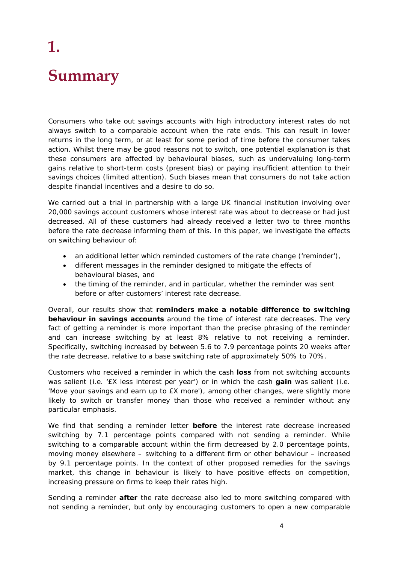# **1. Summary**

Consumers who take out savings accounts with high introductory interest rates do not always switch to a comparable account when the rate ends. This can result in lower returns in the long term, or at least for some period of time before the consumer takes action. Whilst there may be good reasons not to switch, one potential explanation is that these consumers are affected by behavioural biases, such as undervaluing long-term gains relative to short-term costs (present bias) or paying insufficient attention to their savings choices (limited attention). Such biases mean that consumers do not take action despite financial incentives and a desire to do so.

We carried out a trial in partnership with a large UK financial institution involving over 20,000 savings account customers whose interest rate was about to decrease or had just decreased. All of these customers had already received a letter two to three months before the rate decrease informing them of this. In this paper, we investigate the effects on switching behaviour of:

- an additional letter which reminded customers of the rate change ('reminder'),
- different messages in the reminder designed to mitigate the effects of behavioural biases, and
- the timing of the reminder, and in particular, whether the reminder was sent before or after customers' interest rate decrease.

Overall, our results show that **reminders make a notable difference to switching behaviour in savings accounts** around the time of interest rate decreases. The very fact of getting a reminder is more important than the precise phrasing of the reminder and can increase switching by at least 8% relative to not receiving a reminder. Specifically, switching increased by between 5.6 to 7.9 percentage points 20 weeks after the rate decrease, relative to a base switching rate of approximately 50% to 70%.

Customers who received a reminder in which the cash **loss** from not switching accounts was salient (i.e. '£X less interest per year') or in which the cash **gain** was salient (i.e. 'Move your savings and earn up to £X more'), among other changes, were slightly more likely to switch or transfer money than those who received a reminder without any particular emphasis.

We find that sending a reminder letter **before** the interest rate decrease increased switching by 7.1 percentage points compared with not sending a reminder. While switching to a comparable account within the firm decreased by 2.0 percentage points, moving money elsewhere – switching to a different firm or other behaviour – increased by 9.1 percentage points. In the context of other proposed remedies for the savings market, this change in behaviour is likely to have positive effects on competition, increasing pressure on firms to keep their rates high.

Sending a reminder **after** the rate decrease also led to more switching compared with not sending a reminder, but only by encouraging customers to open a new comparable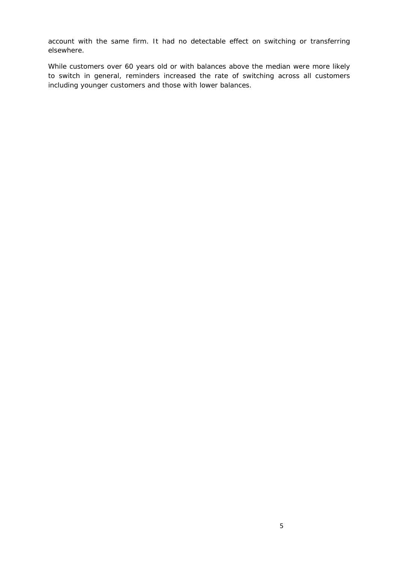account with the same firm. It had no detectable effect on switching or transferring elsewhere.

While customers over 60 years old or with balances above the median were more likely to switch in general, reminders increased the rate of switching across all customers including younger customers and those with lower balances.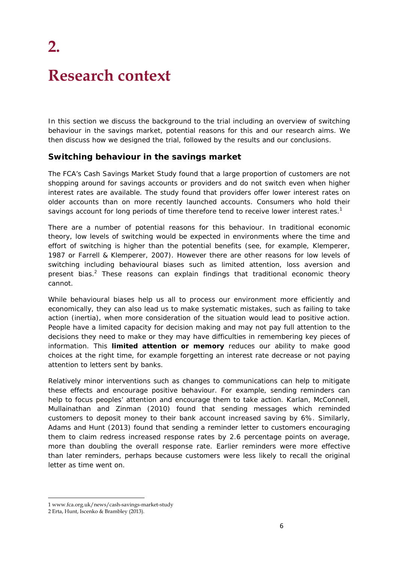# **Research context**

**2.**

In this section we discuss the background to the trial including an overview of switching behaviour in the savings market, potential reasons for this and our research aims. We then discuss how we designed the trial, followed by the results and our conclusions.

### **Switching behaviour in the savings market**

The FCA's Cash Savings Market Study found that a large proportion of customers are not shopping around for savings accounts or providers and do not switch even when higher interest rates are available. The study found that providers offer lower interest rates on older accounts than on more recently launched accounts. Consumers who hold their savings account for long periods of time therefore tend to receive lower interest rates.<sup>1</sup>

There are a number of potential reasons for this behaviour. In traditional economic theory, low levels of switching would be expected in environments where the time and effort of switching is higher than the potential benefits (see, for example, Klemperer, 1987 or Farrell & Klemperer, 2007). However there are other reasons for low levels of switching including behavioural biases such as limited attention, loss aversion and present bias. $2$  These reasons can explain findings that traditional economic theory cannot.

While behavioural biases help us all to process our environment more efficiently and economically, they can also lead us to make systematic mistakes, such as failing to take action (inertia), when more consideration of the situation would lead to positive action. People have a limited capacity for decision making and may not pay full attention to the decisions they need to make or they may have difficulties in remembering key pieces of information. This **limited attention or memory** reduces our ability to make good choices at the right time, for example forgetting an interest rate decrease or not paying attention to letters sent by banks.

Relatively minor interventions such as changes to communications can help to mitigate these effects and encourage positive behaviour. For example, sending reminders can help to focus peoples' attention and encourage them to take action. Karlan, McConnell, Mullainathan and Zinman (2010) found that sending messages which reminded customers to deposit money to their bank account increased saving by 6%. Similarly, Adams and Hunt (2013) found that sending a reminder letter to customers encouraging them to claim redress increased response rates by 2.6 percentage points on average, more than doubling the overall response rate. Earlier reminders were more effective than later reminders, perhaps because customers were less likely to recall the original letter as time went on.

<sup>1</sup> www.fca.org.uk/news/cash-savings-market-study

<sup>2</sup> Erta, Hunt, Iscenko & Brambley (2013).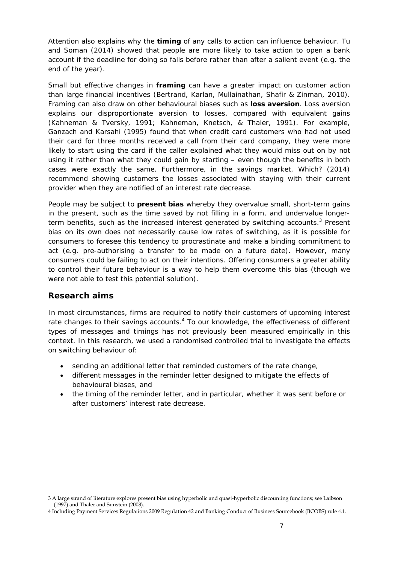Attention also explains why the **timing** of any calls to action can influence behaviour. Tu and Soman (2014) showed that people are more likely to take action to open a bank account if the deadline for doing so falls before rather than after a salient event (e.g. the end of the year).

Small but effective changes in **framing** can have a greater impact on customer action than large financial incentives (Bertrand, Karlan, Mullainathan, Shafir & Zinman, 2010). Framing can also draw on other behavioural biases such as **loss aversion**. Loss aversion explains our disproportionate aversion to losses, compared with equivalent gains (Kahneman & Tversky, 1991; Kahneman, Knetsch, & Thaler, 1991). For example, Ganzach and Karsahi (1995) found that when credit card customers who had not used their card for three months received a call from their card company, they were more likely to start using the card if the caller explained what they would miss out on by not using it rather than what they could gain by starting – even though the benefits in both cases were exactly the same. Furthermore, in the savings market, Which? (2014) recommend showing customers the losses associated with staying with their current provider when they are notified of an interest rate decrease.

People may be subject to **present bias** whereby they overvalue small, short-term gains in the present, such as the time saved by not filling in a form, and undervalue longerterm benefits, such as the increased interest generated by switching accounts.<sup>3</sup> Present bias on its own does not necessarily cause low rates of switching, as it is possible for consumers to foresee this tendency to procrastinate and make a binding commitment to act (e.g. pre-authorising a transfer to be made on a future date). However, many consumers could be failing to act on their intentions. Offering consumers a greater ability to control their future behaviour is a way to help them overcome this bias (though we were not able to test this potential solution).

# **Research aims**

In most circumstances, firms are required to notify their customers of upcoming interest rate changes to their savings accounts.<sup>4</sup> To our knowledge, the effectiveness of different types of messages and timings has not previously been measured empirically in this context. In this research, we used a randomised controlled trial to investigate the effects on switching behaviour of:

- sending an additional letter that reminded customers of the rate change,
- different messages in the reminder letter designed to mitigate the effects of behavioural biases, and
- the timing of the reminder letter, and in particular, whether it was sent before or after customers' interest rate decrease.

<sup>3</sup> A large strand of literature explores present bias using hyperbolic and quasi-hyperbolic discounting functions; see Laibson (1997) and Thaler and Sunstein (2008).

<sup>4</sup> Including Payment Services Regulations 2009 Regulation 42 and Banking Conduct of Business Sourcebook (BCOBS) rule 4.1.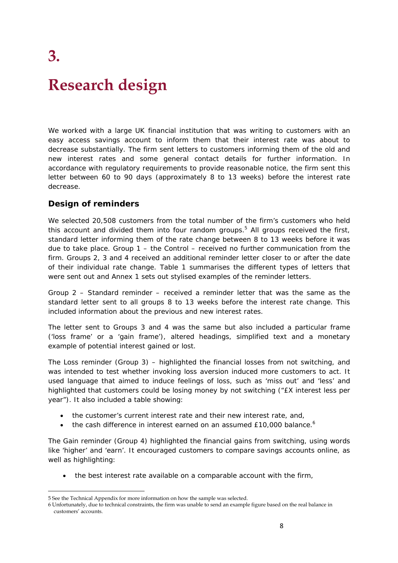**3.** 

# **Research design**

We worked with a large UK financial institution that was writing to customers with an easy access savings account to inform them that their interest rate was about to decrease substantially. The firm sent letters to customers informing them of the old and new interest rates and some general contact details for further information. In accordance with regulatory requirements to provide reasonable notice, the firm sent this letter between 60 to 90 days (approximately 8 to 13 weeks) before the interest rate decrease.

# **Design of reminders**

We selected 20,508 customers from the total number of the firm's customers who held this account and divided them into four random groups.<sup>5</sup> All groups received the first, standard letter informing them of the rate change between 8 to 13 weeks before it was due to take place. Group 1 – the *Control* – received no further communication from the firm. Groups 2, 3 and 4 received an additional reminder letter closer to or after the date of their individual rate change. Table 1 summarises the different types of letters that were sent out and Annex 1 sets out stylised examples of the reminder letters.

Group 2 – *Standard reminder* – received a reminder letter that was the same as the standard letter sent to all groups 8 to 13 weeks before the interest rate change. This included information about the previous and new interest rates.

The letter sent to Groups 3 and 4 was the same but also included a particular frame ('loss frame' or a 'gain frame'), altered headings, simplified text and a monetary example of potential interest gained or lost.

The *Loss reminder* (Group 3) – highlighted the financial losses from not switching, and was intended to test whether invoking loss aversion induced more customers to act. It used language that aimed to induce feelings of loss, such as 'miss out' and 'less' and highlighted that customers could be losing money by not switching ("£X interest less per year"). It also included a table showing:

- the customer's current interest rate and their new interest rate, and,
- the cash difference in interest earned on an assumed  $£10,000$  balance.<sup>6</sup>

The *Gain reminder* (Group 4) highlighted the financial gains from switching, using words like 'higher' and 'earn'. It encouraged customers to compare savings accounts online, as well as highlighting:

the best interest rate available on a comparable account with the firm,

<sup>5</sup> See the Technical Appendix for more information on how the sample was selected.

<sup>6</sup> Unfortunately, due to technical constraints, the firm was unable to send an example figure based on the real balance in customers' accounts.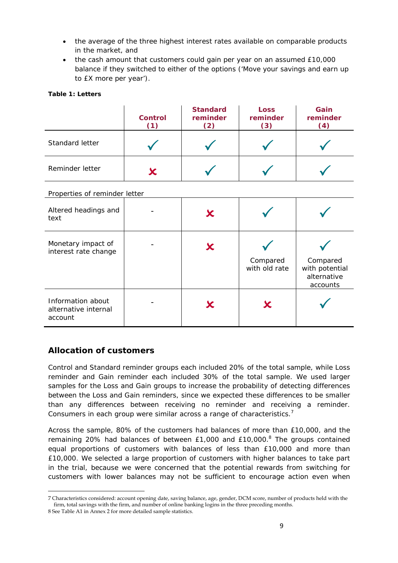- the average of the three highest interest rates available on comparable products in the market, and
- the cash amount that customers could gain per year on an assumed £10,000 balance if they switched to either of the options ('Move your savings and earn up to £X more per year').

#### **Table 1: Letters**

|                 | <b>Control</b><br>(1) | <b>Standard</b><br>reminder<br>$^{\prime}2)$ | <b>Loss</b><br>reminder<br>(3) | Gain<br>reminder<br>4) |
|-----------------|-----------------------|----------------------------------------------|--------------------------------|------------------------|
| Standard letter |                       |                                              |                                |                        |
| Reminder letter |                       |                                              |                                |                        |

#### *Properties of reminder letter*

| Altered headings and<br>text                         | Х |                           |                                                       |
|------------------------------------------------------|---|---------------------------|-------------------------------------------------------|
| Monetary impact of<br>interest rate change           | Х | Compared<br>with old rate | Compared<br>with potential<br>alternative<br>accounts |
| Information about<br>alternative internal<br>account |   |                           |                                                       |

# **Allocation of customers**

*Control* and *Standard reminder* groups each included 20% of the total sample, while *Loss reminder* and *Gain reminder* each included 30% of the total sample. We used larger samples for the *Loss* and *Gain* groups to increase the probability of detecting differences between the *Loss* and *Gain reminders*, since we expected these differences to be smaller than any differences between receiving no reminder and receiving a reminder. Consumers in each group were similar across a range of characteristics.<sup>7</sup>

Across the sample, 80% of the customers had balances of more than £10,000, and the remaining 20% had balances of between  $£1,000$  and  $£10,000$ .<sup>8</sup> The groups contained equal proportions of customers with balances of less than £10,000 and more than £10,000. We selected a large proportion of customers with higher balances to take part in the trial, because we were concerned that the potential rewards from switching for customers with lower balances may not be sufficient to encourage action even when

 7 Characteristics considered: account opening date, saving balance, age, gender, DCM score, number of products held with the firm, total savings with the firm, and number of online banking logins in the three preceding months.

<sup>8</sup> See Table A1 in Annex 2 for more detailed sample statistics.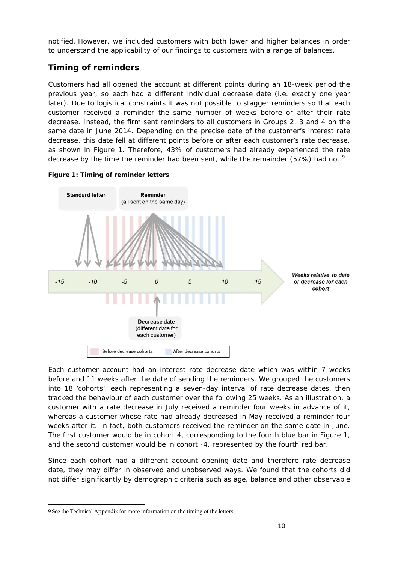notified. However, we included customers with both lower and higher balances in order to understand the applicability of our findings to customers with a range of balances.

# **Timing of reminders**

Customers had all opened the account at different points during an 18-week period the previous year, so each had a different individual decrease date (i.e. exactly one year later). Due to logistical constraints it was not possible to stagger reminders so that each customer received a reminder the same number of weeks before or after their rate decrease. Instead, the firm sent reminders to all customers in Groups 2, 3 and 4 on the same date in June 2014. Depending on the precise date of the customer's interest rate decrease, this date fell at different points before or after each customer's rate decrease, as shown in Figure 1. Therefore, 43% of customers had already experienced the rate decrease by the time the reminder had been sent, while the remainder (57%) had not.<sup>9</sup>



**Figure 1: Timing of reminder letters** 

Each customer account had an interest rate decrease date which was within 7 weeks before and 11 weeks after the date of sending the reminders. We grouped the customers into 18 'cohorts', each representing a seven-day interval of rate decrease dates, then tracked the behaviour of each customer over the following 25 weeks. As an illustration, a customer with a rate decrease in July received a reminder four weeks in advance of it, whereas a customer whose rate had already decreased in May received a reminder four weeks after it. In fact, both customers received the reminder on the same date in June. The first customer would be in cohort 4, corresponding to the fourth blue bar in Figure 1, and the second customer would be in cohort -4, represented by the fourth red bar.

Since each cohort had a different account opening date and therefore rate decrease date, they may differ in observed and unobserved ways. We found that the cohorts did not differ significantly by demographic criteria such as age, balance and other observable

 9 See the Technical Appendix for more information on the timing of the letters.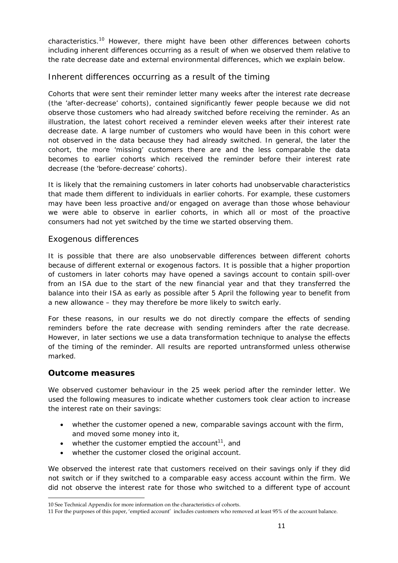characteristics.<sup>10</sup> However, there might have been other differences between cohorts including inherent differences occurring as a result of when we observed them relative to the rate decrease date and external environmental differences, which we explain below.

# *Inherent differences occurring as a result of the timing*

Cohorts that were sent their reminder letter many weeks after the interest rate decrease (the 'after-decrease' cohorts), contained significantly fewer people because we did not observe those customers who had already switched before receiving the reminder. As an illustration, the latest cohort received a reminder eleven weeks after their interest rate decrease date. A large number of customers who would have been in this cohort were not observed in the data because they had already switched. In general, the later the cohort, the more 'missing' customers there are and the less comparable the data becomes to earlier cohorts which received the reminder before their interest rate decrease (the 'before-decrease' cohorts).

It is likely that the remaining customers in later cohorts had unobservable characteristics that made them different to individuals in earlier cohorts. For example, these customers may have been less proactive and/or engaged on average than those whose behaviour we were able to observe in earlier cohorts, in which all or most of the proactive consumers had not yet switched by the time we started observing them.

### *Exogenous differences*

It is possible that there are also unobservable differences between different cohorts because of different external or exogenous factors. It is possible that a higher proportion of customers in later cohorts may have opened a savings account to contain spill-over from an ISA due to the start of the new financial year and that they transferred the balance into their ISA as early as possible after 5 April the following year to benefit from a new allowance – they may therefore be more likely to switch early.

For these reasons, in our results we do not directly compare the effects of sending reminders before the rate decrease with sending reminders after the rate decrease. However, in later sections we use a data transformation technique to analyse the effects of the timing of the reminder. All results are reported untransformed unless otherwise marked.

# **Outcome measures**

We observed customer behaviour in the 25 week period after the reminder letter. We used the following measures to indicate whether customers took clear action to increase the interest rate on their savings:

- whether the customer opened a new, comparable savings account with the firm, and moved some money into it,
- whether the customer emptied the account<sup>11</sup>, and
- whether the customer closed the original account.

We observed the interest rate that customers received on their savings only if they did not switch or if they switched to a comparable easy access account within the firm. We did not observe the interest rate for those who switched to a different type of account

 10 See Technical Appendix for more information on the characteristics of cohorts.

<sup>11</sup> For the purposes of this paper, 'emptied account' includes customers who removed at least 95% of the account balance.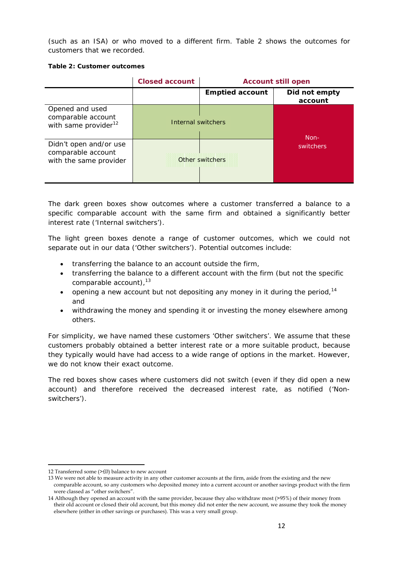(such as an ISA) or who moved to a different firm. Table 2 shows the outcomes for customers that we recorded.

#### **Table 2: Customer outcomes**

|                                                                           | <b>Closed account</b> | <b>Account still open</b> |                          |  |
|---------------------------------------------------------------------------|-----------------------|---------------------------|--------------------------|--|
|                                                                           |                       | <b>Emptied account</b>    | Did not empty<br>account |  |
| Opened and used<br>comparable account<br>with same provider <sup>12</sup> | Internal switchers    |                           | Non-                     |  |
| Didn't open and/or use<br>comparable account<br>with the same provider    |                       | Other switchers           | switchers                |  |

The dark green boxes show outcomes where a customer transferred a balance to a specific comparable account with the same firm and obtained a significantly better interest rate ('Internal switchers').

The light green boxes denote a range of customer outcomes, which we could not separate out in our data ('Other switchers'). Potential outcomes include:

- transferring the balance to an account outside the firm,
- transferring the balance to a different account with the firm (but not the specific comparable account). $13$
- opening a new account but not depositing any money in it during the period,  $14$ and
- withdrawing the money and spending it or investing the money elsewhere among others.

For simplicity, we have named these customers 'Other switchers'. We assume that these customers probably obtained a better interest rate or a more suitable product, because they typically would have had access to a wide range of options in the market. However, we do not know their exact outcome.

The red boxes show cases where customers did not switch (even if they did open a new account) and therefore received the decreased interest rate, as notified ('Nonswitchers').

 12 Transferred some (>£0) balance to new account

<sup>13</sup> We were not able to measure activity in any other customer accounts at the firm, aside from the existing and the new comparable account, so any customers who deposited money into a current account or another savings product with the firm were classed as "other switchers".

<sup>14</sup> Although they opened an account with the same provider, because they also withdraw most (>95%) of their money from their old account or closed their old account, but this money did not enter the new account, we assume they took the money elsewhere (either in other savings or purchases). This was a very small group.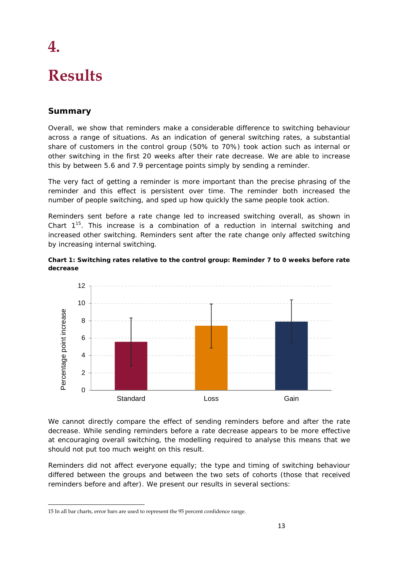# **Results**

**4.** 

# **Summary**

Overall, we show that reminders make a considerable difference to switching behaviour across a range of situations. As an indication of general switching rates, a substantial share of customers in the control group (50% to 70%) took action such as internal or other switching in the first 20 weeks after their rate decrease. We are able to increase this by between 5.6 and 7.9 percentage points simply by sending a reminder.

The very fact of getting a reminder is more important than the precise phrasing of the reminder and this effect is persistent over time. The reminder both increased the number of people switching, and sped up how quickly the same people took action.

Reminders sent before a rate change led to increased switching overall, as shown in Chart  $1^{15}$ . This increase is a combination of a reduction in internal switching and increased other switching. Reminders sent after the rate change only affected switching by increasing internal switching.





We cannot directly compare the effect of sending reminders before and after the rate decrease. While sending reminders before a rate decrease appears to be more effective at encouraging overall switching, the modelling required to analyse this means that we should not put too much weight on this result.

Reminders did not affect everyone equally; the type and timing of switching behaviour differed between the groups and between the two sets of cohorts (those that received reminders before and after). We present our results in several sections:

<sup>15</sup> In all bar charts, error bars are used to represent the 95 percent confidence range.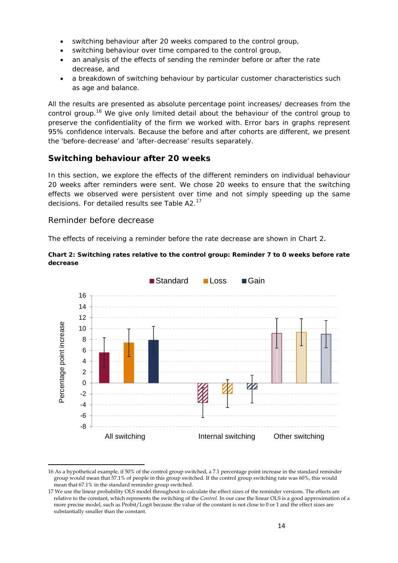- switching behaviour after 20 weeks compared to the control group,
- switching behaviour over time compared to the control group,
- an analysis of the effects of sending the reminder before or after the rate decrease, and
- a breakdown of switching behaviour by particular customer characteristics such as age and balance.

All the results are presented as absolute percentage point increases/ decreases from the control group.<sup>16</sup> We give only limited detail about the behaviour of the control group to preserve the confidentiality of the firm we worked with. Error bars in graphs represent 95% confidence intervals. Because the before and after cohorts are different, we present the 'before-decrease' and 'after-decrease' results separately.

# **Switching behaviour after 20 weeks**

In this section, we explore the effects of the different reminders on individual behaviour 20 weeks after reminders were sent. We chose 20 weeks to ensure that the switching effects we observed were persistent over time and not simply speeding up the same decisions. For detailed results see Table A2.<sup>17</sup>

### *Reminder before decrease*

The effects of receiving a reminder before the rate decrease are shown in Chart 2.

■Standard ■Loss ■Gain 16 14 12 Percentage point increase Percentage point increase 10 8 6 4 2  $\Omega$ -2 -4 -6 -8 All switching Thernal switching Other switching

**Chart 2: Switching rates relative to the control group: Reminder 7 to 0 weeks before rate decrease** 

<sup>16</sup> As a hypothetical example, if 50% of the control group switched, a 7.1 percentage point increase in the standard reminder group would mean that 57.1% of people in this group switched. If the control group switching rate was 60%, this would mean that 67.1% in the standard reminder group switched.

<sup>17</sup> We use the linear probability OLS model throughout to calculate the effect sizes of the reminder versions. The effects are relative to the constant, which represents the switching of the *Control*. In our case the linear OLS is a good approximation of a more precise model, such as Probit/Logit because the value of the constant is not close to 0 or 1 and the effect sizes are substantially smaller than the constant.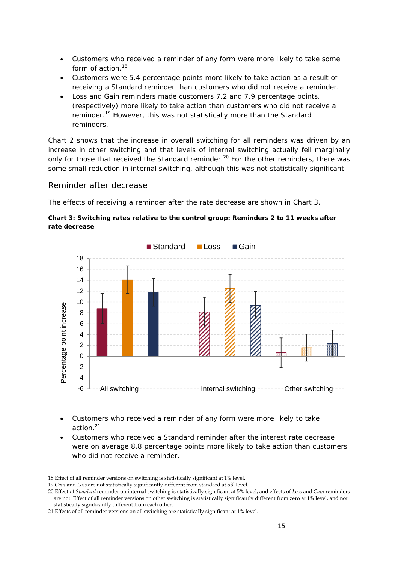- Customers who received a reminder of any form were more likely to take some form of action.<sup>18</sup>
- Customers were 5.4 percentage points more likely to take action as a result of receiving a *Standard reminder* than customers who did not receive a reminder.
- *Loss* and *Gain reminders* made customers 7.2 and 7.9 percentage points. (respectively) more likely to take action than customers who did not receive a reminder.19 However, this was not statistically more than the *Standard reminders.*

Chart 2 shows that the increase in overall switching for all reminders was driven by an increase in other switching and that levels of internal switching actually fell marginally only for those that received the *Standard reminder*.<sup>20</sup> For the other reminders, there was some small reduction in internal switching, although this was not statistically significant.

#### *Reminder after decrease*

The effects of receiving a reminder after the rate decrease are shown in Chart 3.



#### **Chart 3: Switching rates relative to the control group: Reminders 2 to 11 weeks after rate decrease**

- Customers who received a reminder of any form were more likely to take action.<sup>21</sup>
- Customers who received a *Standard reminder* after the interest rate decrease were on average 8.8 percentage points more likely to take action than customers who did not receive a reminder.

 18 Effect of all reminder versions on switching is statistically significant at 1% level.

<sup>19</sup> *Gain* and *Loss* are not statistically significantly different from standard at 5% level.

<sup>20</sup> Effect of *Standard* reminder on internal switching is statistically significant at 5% level, and effects of *Loss* and *Gain* reminders

are not. Effect of all reminder versions on other switching is statistically significantly different from zero at 1% level, and not statistically significantly different from each other.

<sup>21</sup> Effects of all reminder versions on all switching are statistically significant at 1% level.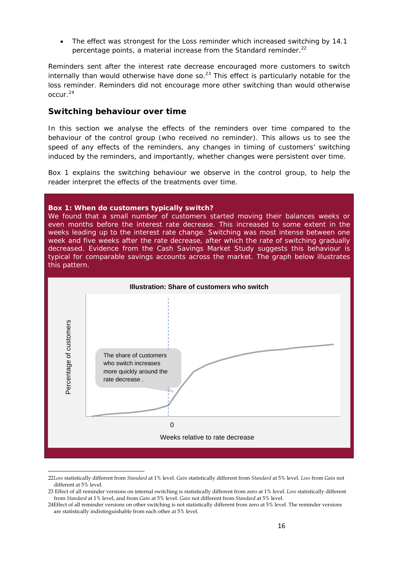The effect was strongest for the *Loss reminder* which increased switching by 14.1 percentage points, a material increase from the *Standard reminder.*22

Reminders sent after the interest rate decrease encouraged more customers to switch internally than would otherwise have done so. $^{23}$  This effect is particularly notable for the loss reminder. Reminders did not encourage more other switching than would otherwise  $OCLIP<sup>24</sup>$ 

#### **Switching behaviour over time**

In this section we analyse the effects of the reminders over time compared to the behaviour of the control group (who received no reminder). This allows us to see the speed of any effects of the reminders, any changes in timing of customers' switching induced by the reminders, and importantly, whether changes were persistent over time.

Box 1 explains the switching behaviour we observe in the control group, to help the reader interpret the effects of the treatments over time.

#### **Box 1: When do customers typically switch?**

We found that a small number of customers started moving their balances weeks or even months before the interest rate decrease. This increased to some extent in the weeks leading up to the interest rate change. Switching was most intense between one week and five weeks after the rate decrease, after which the rate of switching gradually decreased. Evidence from the Cash Savings Market Study suggests this behaviour is typical for comparable savings accounts across the market. The graph below illustrates this pattern.



<sup>22</sup>*Loss* statistically different from *Standard* at 1% level. *Gain* statistically different from *Standard* at 5% level. *Loss* from *Gain* not different at 5% level.

<sup>23</sup> Effect of all reminder versions on internal switching is statistically different from zero at 1% level. *Loss* statistically different from *Standard* at 1% level, and from *Gain* at 5% level. *Gain* not different from *Standard* at 5% level.

<sup>24</sup>Effect of all reminder versions on other switching is not statistically different from zero at 5% level. The reminder versions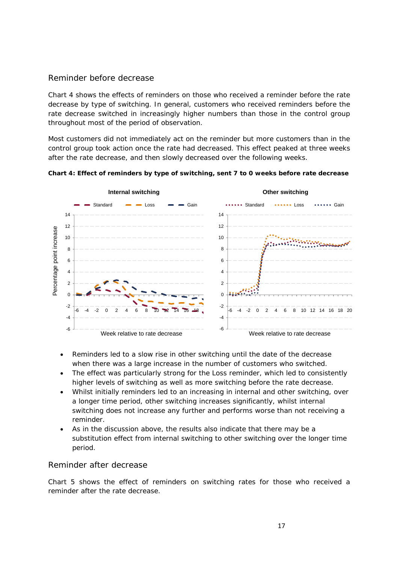# *Reminder before decrease*

Chart 4 shows the effects of reminders on those who received a reminder before the rate decrease by type of switching. In general, customers who received reminders before the rate decrease switched in increasingly higher numbers than those in the control group throughout most of the period of observation.

Most customers did not immediately act on the reminder but more customers than in the control group took action once the rate had decreased. This effect peaked at three weeks after the rate decrease, and then slowly decreased over the following weeks.



**Chart 4: Effect of reminders by type of switching, sent 7 to 0 weeks before rate decrease** 

- Reminders led to a slow rise in other switching until the date of the decrease when there was a large increase in the number of customers who switched.
- The effect was particularly strong for the *Loss reminder*, which led to consistently higher levels of switching as well as more switching before the rate decrease.
- Whilst initially reminders led to an increasing in internal and other switching, over a longer time period, other switching increases significantly, whilst internal switching does not increase any further and performs worse than not receiving a reminder.
- As in the discussion above, the results also indicate that there may be a substitution effect from internal switching to other switching over the longer time period.

# *Reminder after decrease*

Chart 5 shows the effect of reminders on switching rates for those who received a reminder after the rate decrease.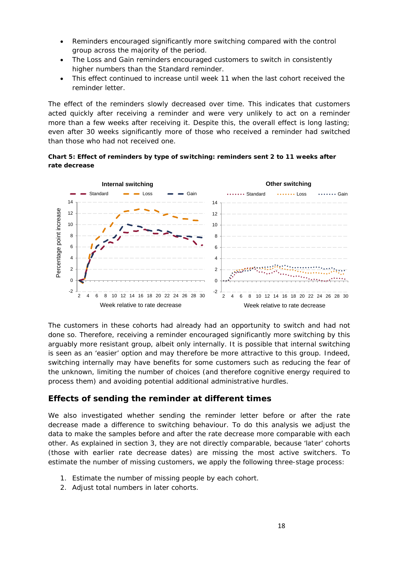- Reminders encouraged significantly more switching compared with the control group across the majority of the period.
- The *Loss* and *Gain reminders* encouraged customers to switch in consistently higher numbers than the *Standard reminder*.
- This effect continued to increase until week 11 when the last cohort received the reminder letter.

The effect of the reminders slowly decreased over time. This indicates that customers acted quickly after receiving a reminder and were very unlikely to act on a reminder more than a few weeks after receiving it. Despite this, the overall effect is long lasting; even after 30 weeks significantly more of those who received a reminder had switched than those who had not received one.

#### **Chart 5: Effect of reminders by type of switching: reminders sent 2 to 11 weeks after rate decrease**



The customers in these cohorts had already had an opportunity to switch and had not done so. Therefore, receiving a reminder encouraged significantly more switching by this arguably more resistant group, albeit only internally. It is possible that internal switching is seen as an 'easier' option and may therefore be more attractive to this group. Indeed, switching internally may have benefits for some customers such as reducing the fear of the unknown, limiting the number of choices (and therefore cognitive energy required to process them) and avoiding potential additional administrative hurdles.

# **Effects of sending the reminder at different times**

We also investigated whether sending the reminder letter before or after the rate decrease made a difference to switching behaviour. To do this analysis we adjust the data to make the samples before and after the rate decrease more comparable with each other. As explained in section 3, they are not directly comparable, because 'later' cohorts (those with earlier rate decrease dates) are missing the most active switchers. To estimate the number of missing customers, we apply the following three-stage process:

- 1. Estimate the number of missing people by each cohort.
- 2. Adjust total numbers in later cohorts.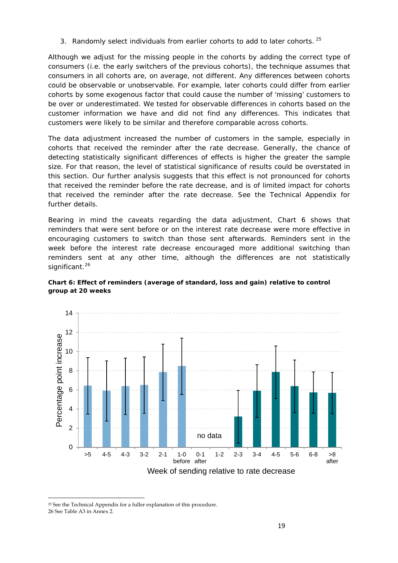3. Randomly select individuals from earlier cohorts to add to later cohorts.  $^{25}$ 

Although we adjust for the missing people in the cohorts by adding the correct type of consumers (i.e. the early switchers of the previous cohorts), the technique assumes that consumers in all cohorts are, on average, not different. Any differences between cohorts could be observable or unobservable. For example, later cohorts could differ from earlier cohorts by some exogenous factor that could cause the number of 'missing' customers to be over or underestimated. We tested for observable differences in cohorts based on the customer information we have and did not find any differences. This indicates that customers were likely to be similar and therefore comparable across cohorts.

The data adjustment increased the number of customers in the sample, especially in cohorts that received the reminder after the rate decrease. Generally, the chance of detecting statistically significant differences of effects is higher the greater the sample size. For that reason, the level of statistical significance of results could be overstated in this section. Our further analysis suggests that this effect is not pronounced for cohorts that received the reminder before the rate decrease, and is of limited impact for cohorts that received the reminder after the rate decrease. See the Technical Appendix for further details.

Bearing in mind the caveats regarding the data adjustment, Chart 6 shows that reminders that were sent before or on the interest rate decrease were more effective in encouraging customers to switch than those sent afterwards. Reminders sent in the week before the interest rate decrease encouraged more additional switching than reminders sent at any other time, although the differences are not statistically significant.<sup>26</sup>



**Chart 6: Effect of reminders (average of standard, loss and gain) relative to control group at 20 weeks** 

 <sup>25</sup> See the Technical Appendix for a fuller explanation of this procedure. 26 See Table A3 in Annex 2.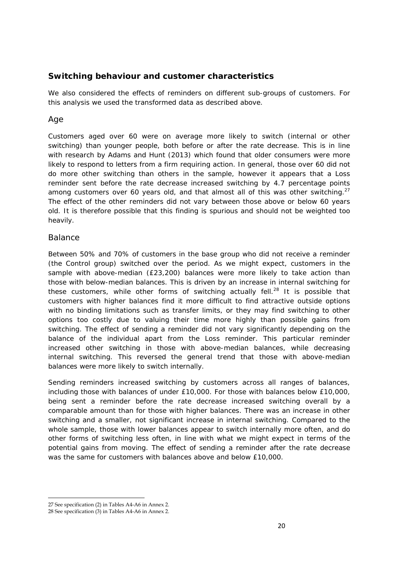# **Switching behaviour and customer characteristics**

We also considered the effects of reminders on different sub-groups of customers. For this analysis we used the transformed data as described above.

### *Age*

Customers aged over 60 were on average more likely to switch (internal or other switching) than younger people, both before or after the rate decrease. This is in line with research by Adams and Hunt (2013) which found that older consumers were more likely to respond to letters from a firm requiring action. In general, those over 60 did not do more other switching than others in the sample, however it appears that a *Loss reminder* sent before the rate decrease increased switching by 4.7 percentage points among customers over 60 years old, and that almost all of this was other switching.<sup>27</sup> The effect of the other reminders did not vary between those above or below 60 years old. It is therefore possible that this finding is spurious and should not be weighted too heavily.

### *Balance*

Between 50% and 70% of customers in the base group who did not receive a reminder (the *Control* group) switched over the period. As we might expect, customers in the sample with above-median (£23,200) balances were more likely to take action than those with below-median balances. This is driven by an increase in internal switching for these customers, while other forms of switching actually fell.<sup>28</sup> It is possible that customers with higher balances find it more difficult to find attractive outside options with no binding limitations such as transfer limits, or they may find switching to other options too costly due to valuing their time more highly than possible gains from switching. The effect of sending a reminder did not vary significantly depending on the balance of the individual apart from the *Loss reminder*. This particular reminder increased other switching in those with above-median balances, while decreasing internal switching. This reversed the general trend that those with above-median balances were more likely to switch internally.

Sending reminders increased switching by customers across all ranges of balances, including those with balances of under £10,000. For those with balances below £10,000, being sent a reminder before the rate decrease increased switching overall by a comparable amount than for those with higher balances. There was an increase in other switching and a smaller, not significant increase in internal switching. Compared to the whole sample, those with lower balances appear to switch internally more often, and do other forms of switching less often, in line with what we might expect in terms of the potential gains from moving. The effect of sending a reminder after the rate decrease was the same for customers with balances above and below £10,000.

<sup>27</sup> See specification (2) in Tables A4-A6 in Annex 2.

<sup>28</sup> See specification (3) in Tables A4-A6 in Annex 2.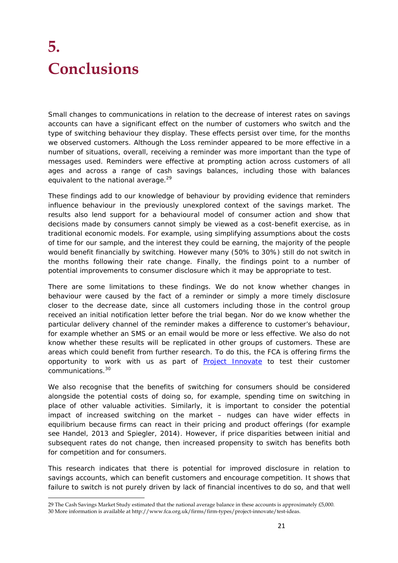# **5. Conclusions**

Small changes to communications in relation to the decrease of interest rates on savings accounts can have a significant effect on the number of customers who switch and the type of switching behaviour they display. These effects persist over time, for the months we observed customers. Although the *Loss reminder* appeared to be more effective in a number of situations, overall, receiving a reminder was more important than the type of messages used. Reminders were effective at prompting action across customers of all ages and across a range of cash savings balances, including those with balances equivalent to the national average.<sup>29</sup>

These findings add to our knowledge of behaviour by providing evidence that reminders influence behaviour in the previously unexplored context of the savings market. The results also lend support for a behavioural model of consumer action and show that decisions made by consumers cannot simply be viewed as a cost-benefit exercise, as in traditional economic models. For example, using simplifying assumptions about the costs of time for our sample, and the interest they could be earning, the majority of the people would benefit financially by switching. However many (50% to 30%) still do not switch in the months following their rate change. Finally, the findings point to a number of potential improvements to consumer disclosure which it may be appropriate to test.

There are some limitations to these findings. We do not know whether changes in behaviour were caused by the fact of a reminder or simply a more timely disclosure closer to the decrease date, since all customers including those in the control group received an initial notification letter before the trial began. Nor do we know whether the particular delivery channel of the reminder makes a difference to customer's behaviour, for example whether an SMS or an email would be more or less effective. We also do not know whether these results will be replicated in other groups of customers. These are areas which could benefit from further research. To do this, the FCA is offering firms the opportunity to work with us as part of **Project Innovate** to test their customer communications.30

We also recognise that the benefits of switching for consumers should be considered alongside the potential costs of doing so, for example, spending time on switching in place of other valuable activities. Similarly, it is important to consider the potential impact of increased switching on the market – nudges can have wider effects in equilibrium because firms can react in their pricing and product offerings (for example see Handel, 2013 and Spiegler, 2014). However, if price disparities between initial and subsequent rates do not change, then increased propensity to switch has benefits both for competition and for consumers.

This research indicates that there is potential for improved disclosure in relation to savings accounts, which can benefit customers and encourage competition. It shows that failure to switch is not purely driven by lack of financial incentives to do so, and that well

 29 The Cash Savings Market Study estimated that the national average balance in these accounts is approximately £5,000. 30 More information is available at http://www.fca.org.uk/firms/firm-types/project-innovate/test-ideas.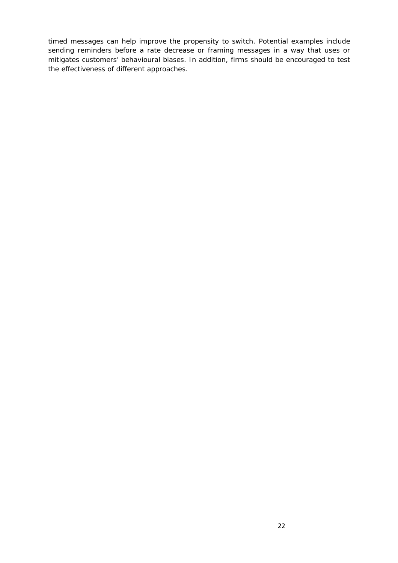timed messages can help improve the propensity to switch. Potential examples include sending reminders before a rate decrease or framing messages in a way that uses or mitigates customers' behavioural biases. In addition, firms should be encouraged to test the effectiveness of different approaches.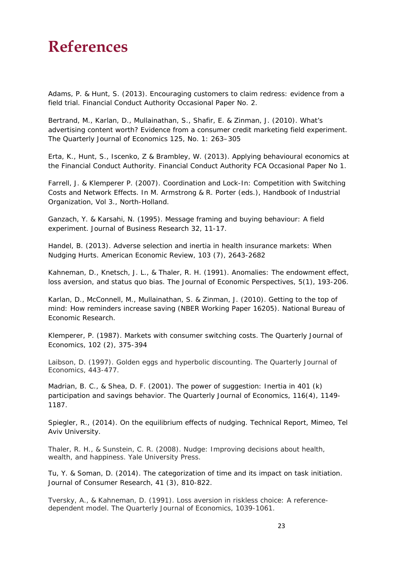# **References**

Adams, P. & Hunt, S. (2013). *Encouraging customers to claim redress: evidence from a field trial.* Financial Conduct Authority Occasional Paper No. 2*.* 

Bertrand, M., Karlan, D., Mullainathan, S., Shafir, E. & Zinman, J. (2010). What's advertising content worth? Evidence from a consumer credit marketing field experiment. *The Quarterly Journal of Economics 125,* No. 1: 263–305

Erta, K., Hunt, S., Iscenko, Z & Brambley, W. (2013). *Applying behavioural economics at the Financial Conduct Authority.* Financial Conduct Authority FCA Occasional Paper No 1.

Farrell, J. & Klemperer P. (2007). Coordination and Lock-In: Competition with Switching Costs and Network Effects. In M. Armstrong & R. Porter (eds.), *Handbook of Industrial Organization, Vol 3*., North-Holland.

Ganzach, Y. & Karsahi, N. (1995). Message framing and buying behaviour: A field experiment. *Journal of Business Research 32,* 11-17.

Handel, B. (2013). Adverse selection and inertia in health insurance markets: When Nudging Hurts. *American Economic Review, 103 (7),* 2643-2682

Kahneman, D., Knetsch, J. L., & Thaler, R. H. (1991). Anomalies: The endowment effect, loss aversion, and status quo bias. *The Journal of Economic Perspectives*, *5*(1), 193-206.

Karlan, D., McConnell, M., Mullainathan, S. & Zinman, J. (2010). *Getting to the top of mind: How reminders increase saving* (NBER Working Paper 16205). National Bureau of Economic Research.

Klemperer, P. (1987). Markets with consumer switching costs. *The Quarterly Journal of Economics, 102 (2),* 375-394

Laibson, D. (1997). Golden eggs and hyperbolic discounting. *The Quarterly Journal of Economics*, 443-477.

Madrian, B. C., & Shea, D. F. (2001). The power of suggestion: Inertia in 401 (k) participation and savings behavior. *The Quarterly Journal of Economics*, *116*(4), 1149- 1187.

Spiegler, R., (2014). *On the equilibrium effects of nudging*. Technical Report, Mimeo, Tel Aviv University.

Thaler, R. H., & Sunstein, C. R. (2008). *Nudge: Improving decisions about health, wealth, and happiness*. Yale University Press.

Tu, Y. & Soman, D. (2014). The categorization of time and its impact on task initiation. *Journal of Consumer Research*, *41 (3),* 810-822.

Tversky, A., & Kahneman, D. (1991). Loss aversion in riskless choice: A referencedependent model. *The Quarterly Journal of Economics*, 1039-1061.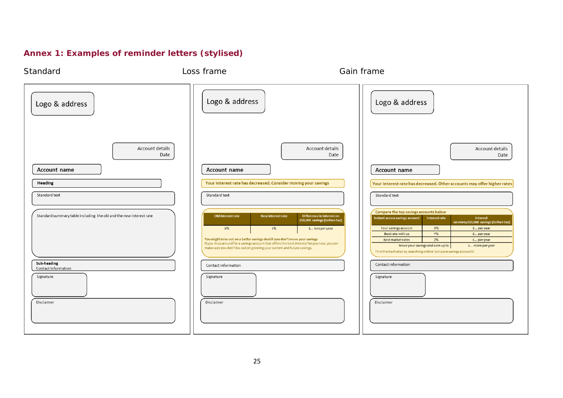# **Annex 1: Examples of reminder letters (stylised)**

| Standard                                                           | Loss frame                                                                                                                                                                                                                                                                                                       | Gain frame                                                                                                                                                                                                                                                                                                                                                                                                                                                                                         |
|--------------------------------------------------------------------|------------------------------------------------------------------------------------------------------------------------------------------------------------------------------------------------------------------------------------------------------------------------------------------------------------------|----------------------------------------------------------------------------------------------------------------------------------------------------------------------------------------------------------------------------------------------------------------------------------------------------------------------------------------------------------------------------------------------------------------------------------------------------------------------------------------------------|
| Logo & address                                                     | Logo & address                                                                                                                                                                                                                                                                                                   | Logo & address                                                                                                                                                                                                                                                                                                                                                                                                                                                                                     |
| Account details<br>Date<br>Account name                            | <b>Account name</b>                                                                                                                                                                                                                                                                                              | Account details<br>Account details<br>Date<br>Date<br>Account name                                                                                                                                                                                                                                                                                                                                                                                                                                 |
| Heading<br>Standard text                                           | Your interest rate has decreased. Consider moving your savings<br>Standard text                                                                                                                                                                                                                                  | Your interest rate has decreased. Other accounts may offer higher rates<br>Standard text                                                                                                                                                                                                                                                                                                                                                                                                           |
| Standard summary table including the old and the new interest rate | Old interest rate<br>New interest rate<br>$X\%$<br>$Y\%$<br>You might miss out on a better savings deal if you don't move your savings<br>If you shop around for a savings account that offers the best interest for you now, you can<br>make sure you don't los out on growing your current and future savings. | Compare the top savings accounts below<br>Difference in interest on<br>Instant access savings account<br><b>Interestrate</b><br>Interest<br>£10,000 savings (before tax)<br>on every £10,000 savings (before tax)<br>$X\%$<br>Your savings account<br>£ per year<br>£ less per year<br>Y%<br>Best rate with us<br>f peryear<br>Z%<br>Best market rates<br>£ per year<br>Move your savings and earn up to<br>£ more per year<br>Find the best rates by searching online 'compare savings accounts'. |
| Sub-heading<br>Contact information<br>Signature<br>Disclaimer      | Contact information<br>Signature<br>Disclaimer                                                                                                                                                                                                                                                                   | Contact information<br>Signature<br>Disclaimer                                                                                                                                                                                                                                                                                                                                                                                                                                                     |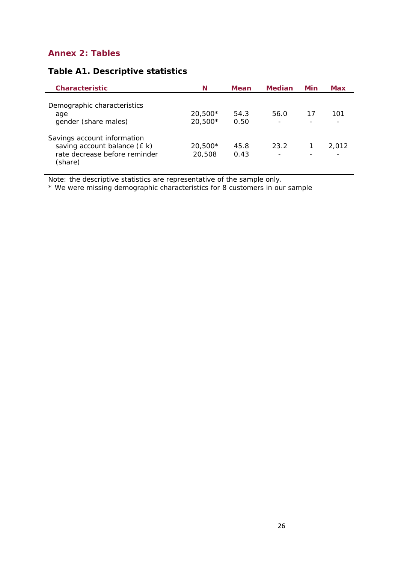# **Annex 2: Tables**

| <b>Characteristic</b>                                                                                   | N                    | <b>Mean</b>  | Median | Min | Max   |
|---------------------------------------------------------------------------------------------------------|----------------------|--------------|--------|-----|-------|
| Demographic characteristics<br>age<br>gender (share males)                                              | $20,500*$<br>20,500* | 54.3<br>0.50 | 56.0   | 17  | 101   |
| Savings account information<br>saving account balance (£ k)<br>rate decrease before reminder<br>(share) | $20,500*$<br>20,508  | 45.8<br>0.43 | 23.2   |     | 2.012 |

# **Table A1. Descriptive statistics**

Note: the descriptive statistics are representative of the sample only.

\* We were missing demographic characteristics for 8 customers in our sample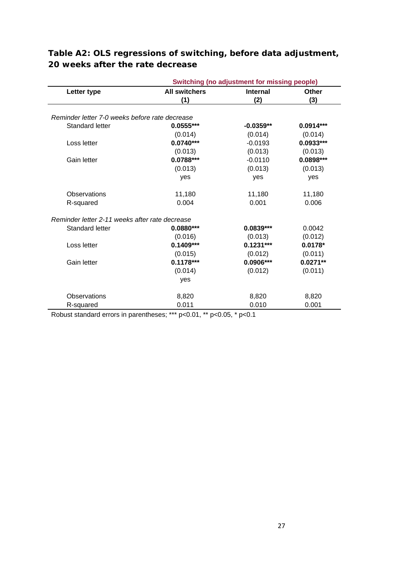|                                                | <b>Switching (no adjustment for missing people)</b> |                 |             |  |  |  |  |
|------------------------------------------------|-----------------------------------------------------|-----------------|-------------|--|--|--|--|
| Letter type                                    | <b>All switchers</b>                                | <b>Internal</b> | Other       |  |  |  |  |
|                                                | (1)                                                 | (2)             | (3)         |  |  |  |  |
|                                                |                                                     |                 |             |  |  |  |  |
| Reminder letter 7-0 weeks before rate decrease |                                                     |                 |             |  |  |  |  |
| Standard letter                                | $0.0555***$                                         | $-0.0359**$     | $0.0914***$ |  |  |  |  |
|                                                | (0.014)                                             | (0.014)         | (0.014)     |  |  |  |  |
| Loss letter                                    | $0.0740***$                                         | $-0.0193$       | $0.0933***$ |  |  |  |  |
|                                                | (0.013)                                             | (0.013)         | (0.013)     |  |  |  |  |
| Gain letter                                    | $0.0788***$                                         | $-0.0110$       | $0.0898***$ |  |  |  |  |
|                                                | (0.013)                                             | (0.013)         | (0.013)     |  |  |  |  |
|                                                | yes                                                 | yes             | yes         |  |  |  |  |
| Observations                                   | 11,180                                              | 11,180          | 11,180      |  |  |  |  |
| R-squared                                      | 0.004                                               | 0.001           | 0.006       |  |  |  |  |
| Reminder letter 2-11 weeks after rate decrease |                                                     |                 |             |  |  |  |  |
| <b>Standard letter</b>                         | $0.0880***$                                         | $0.0839***$     | 0.0042      |  |  |  |  |
|                                                | (0.016)                                             | (0.013)         | (0.012)     |  |  |  |  |
| Loss letter                                    | $0.1409***$                                         | $0.1231***$     | $0.0178*$   |  |  |  |  |
|                                                | (0.015)                                             | (0.012)         | (0.011)     |  |  |  |  |
| Gain letter                                    | $0.1178***$                                         | 0.0906***       | $0.0271**$  |  |  |  |  |
|                                                | (0.014)                                             | (0.012)         | (0.011)     |  |  |  |  |
|                                                | yes                                                 |                 |             |  |  |  |  |
| <b>Observations</b>                            | 8,820                                               | 8,820           | 8,820       |  |  |  |  |
| R-squared                                      | 0.011                                               | 0.010           | 0.001       |  |  |  |  |

# **Table A2: OLS regressions of switching, before data adjustment, 20 weeks after the rate decrease**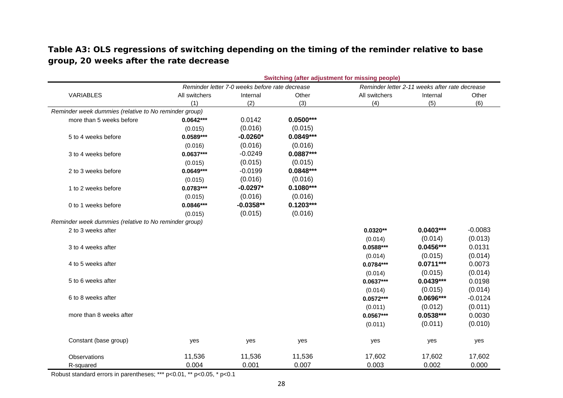**Table A3: OLS regressions of switching depending on the timing of the reminder relative to base group, 20 weeks after the rate decrease** 

|                                                       | Switching (after adjustment for missing people) |                                                |             |               |                                                |           |  |  |  |
|-------------------------------------------------------|-------------------------------------------------|------------------------------------------------|-------------|---------------|------------------------------------------------|-----------|--|--|--|
|                                                       |                                                 | Reminder letter 7-0 weeks before rate decrease |             |               | Reminder letter 2-11 weeks after rate decrease |           |  |  |  |
| VARIABLES                                             | All switchers                                   | Internal                                       | Other       | All switchers | Internal                                       | Other     |  |  |  |
|                                                       | (1)                                             | (2)                                            | (3)         | (4)           | (5)                                            | (6)       |  |  |  |
| Reminder week dummies (relative to No reminder group) |                                                 |                                                |             |               |                                                |           |  |  |  |
| more than 5 weeks before                              | $0.0642***$                                     | 0.0142                                         | $0.0500***$ |               |                                                |           |  |  |  |
|                                                       | (0.015)                                         | (0.016)                                        | (0.015)     |               |                                                |           |  |  |  |
| 5 to 4 weeks before                                   | $0.0589***$                                     | $-0.0260*$                                     | $0.0849***$ |               |                                                |           |  |  |  |
|                                                       | (0.016)                                         | (0.016)                                        | (0.016)     |               |                                                |           |  |  |  |
| 3 to 4 weeks before                                   | $0.0637***$                                     | $-0.0249$                                      | $0.0887***$ |               |                                                |           |  |  |  |
|                                                       | (0.015)                                         | (0.015)                                        | (0.015)     |               |                                                |           |  |  |  |
| 2 to 3 weeks before                                   | $0.0649***$                                     | $-0.0199$                                      | $0.0848***$ |               |                                                |           |  |  |  |
|                                                       | (0.015)                                         | (0.016)                                        | (0.016)     |               |                                                |           |  |  |  |
| 1 to 2 weeks before                                   | $0.0783***$                                     | $-0.0297*$                                     | $0.1080***$ |               |                                                |           |  |  |  |
|                                                       | (0.015)                                         | (0.016)                                        | (0.016)     |               |                                                |           |  |  |  |
| 0 to 1 weeks before                                   | $0.0846***$                                     | $-0.0358**$                                    | $0.1203***$ |               |                                                |           |  |  |  |
|                                                       | (0.015)                                         | (0.015)                                        | (0.016)     |               |                                                |           |  |  |  |
| Reminder week dummies (relative to No reminder group) |                                                 |                                                |             |               |                                                |           |  |  |  |
| 2 to 3 weeks after                                    |                                                 |                                                |             | $0.0320**$    | $0.0403***$                                    | $-0.0083$ |  |  |  |
|                                                       |                                                 |                                                |             | (0.014)       | (0.014)                                        | (0.013)   |  |  |  |
| 3 to 4 weeks after                                    |                                                 |                                                |             | $0.0588***$   | $0.0456***$                                    | 0.0131    |  |  |  |
|                                                       |                                                 |                                                |             | (0.014)       | (0.015)                                        | (0.014)   |  |  |  |
| 4 to 5 weeks after                                    |                                                 |                                                |             | $0.0784***$   | $0.0711***$                                    | 0.0073    |  |  |  |
|                                                       |                                                 |                                                |             | (0.014)       | (0.015)                                        | (0.014)   |  |  |  |
| 5 to 6 weeks after                                    |                                                 |                                                |             | $0.0637***$   | $0.0439***$                                    | 0.0198    |  |  |  |
|                                                       |                                                 |                                                |             | (0.014)       | (0.015)                                        | (0.014)   |  |  |  |
| 6 to 8 weeks after                                    |                                                 |                                                |             | $0.0572***$   | 0.0696***                                      | $-0.0124$ |  |  |  |
|                                                       |                                                 |                                                |             | (0.011)       | (0.012)                                        | (0.011)   |  |  |  |
| more than 8 weeks after                               |                                                 |                                                |             | $0.0567***$   | $0.0538***$                                    | 0.0030    |  |  |  |
|                                                       |                                                 |                                                |             | (0.011)       | (0.011)                                        | (0.010)   |  |  |  |
| Constant (base group)                                 | yes                                             | yes                                            | yes         | yes           | yes                                            | yes       |  |  |  |
| Observations                                          | 11,536                                          | 11,536                                         | 11,536      | 17,602        | 17,602                                         | 17,602    |  |  |  |
| R-squared                                             | 0.004                                           | 0.001                                          | 0.007       | 0.003         | 0.002                                          | 0.000     |  |  |  |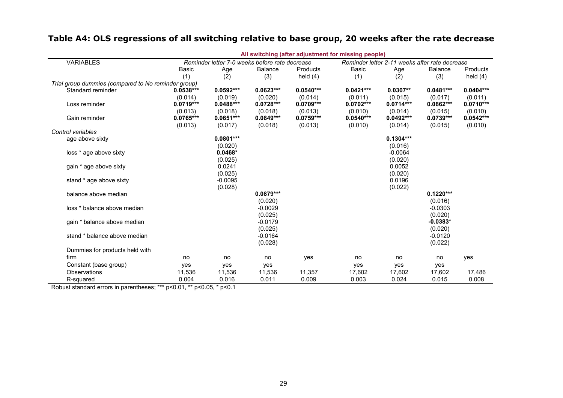# **Table A4: OLS regressions of all switching relative to base group, 20 weeks after the rate decrease**

|                                                     |                                                |             |                |             | All switching (after adjustment for missing people) |                                                |                |             |
|-----------------------------------------------------|------------------------------------------------|-------------|----------------|-------------|-----------------------------------------------------|------------------------------------------------|----------------|-------------|
| <b>VARIABLES</b>                                    | Reminder letter 7-0 weeks before rate decrease |             |                |             |                                                     | Reminder letter 2-11 weeks after rate decrease |                |             |
|                                                     | Basic                                          | Age         | <b>Balance</b> | Products    | <b>Basic</b>                                        | Age                                            | <b>Balance</b> | Products    |
|                                                     | (1)                                            | (2)         | (3)            | held $(4)$  | (1)                                                 | (2)                                            | (3)            | held $(4)$  |
| Trial group dummies (compared to No reminder group) |                                                |             |                |             |                                                     |                                                |                |             |
| Standard reminder                                   | $0.0538***$                                    | $0.0592***$ | $0.0623***$    | $0.0540***$ | $0.0421***$                                         | $0.0307**$                                     | $0.0481***$    | $0.0404***$ |
|                                                     | (0.014)                                        | (0.019)     | (0.020)        | (0.014)     | (0.011)                                             | (0.015)                                        | (0.017)        | (0.011)     |
| Loss reminder                                       | $0.0719***$                                    | $0.0488***$ | $0.0728***$    | $0.0709***$ | $0.0702***$                                         | $0.0714***$                                    | $0.0862***$    | $0.0710***$ |
|                                                     | (0.013)                                        | (0.018)     | (0.018)        | (0.013)     | (0.010)                                             | (0.014)                                        | (0.015)        | (0.010)     |
| Gain reminder                                       | $0.0765***$                                    | $0.0651***$ | $0.0849***$    | $0.0759***$ | $0.0540***$                                         | $0.0492***$                                    | $0.0739***$    | $0.0542***$ |
|                                                     | (0.013)                                        | (0.017)     | (0.018)        | (0.013)     | (0.010)                                             | (0.014)                                        | (0.015)        | (0.010)     |
| Control variables                                   |                                                |             |                |             |                                                     |                                                |                |             |
| age above sixty                                     |                                                | $0.0801***$ |                |             |                                                     | $0.1304***$                                    |                |             |
|                                                     |                                                | (0.020)     |                |             |                                                     | (0.016)                                        |                |             |
| loss * age above sixty                              |                                                | $0.0468*$   |                |             |                                                     | $-0.0064$                                      |                |             |
|                                                     |                                                | (0.025)     |                |             |                                                     | (0.020)                                        |                |             |
| gain * age above sixty                              |                                                | 0.0241      |                |             |                                                     | 0.0052                                         |                |             |
|                                                     |                                                | (0.025)     |                |             |                                                     | (0.020)                                        |                |             |
| stand * age above sixty                             |                                                | $-0.0095$   |                |             |                                                     | 0.0196                                         |                |             |
|                                                     |                                                | (0.028)     |                |             |                                                     | (0.022)                                        |                |             |
| balance above median                                |                                                |             | $0.0879***$    |             |                                                     |                                                | $0.1220***$    |             |
|                                                     |                                                |             | (0.020)        |             |                                                     |                                                | (0.016)        |             |
| loss * balance above median                         |                                                |             | $-0.0029$      |             |                                                     |                                                | $-0.0303$      |             |
|                                                     |                                                |             | (0.025)        |             |                                                     |                                                | (0.020)        |             |
| gain * balance above median                         |                                                |             | $-0.0179$      |             |                                                     |                                                | $-0.0383*$     |             |
|                                                     |                                                |             | (0.025)        |             |                                                     |                                                | (0.020)        |             |
| stand * balance above median                        |                                                |             | $-0.0164$      |             |                                                     |                                                | $-0.0120$      |             |
|                                                     |                                                |             | (0.028)        |             |                                                     |                                                | (0.022)        |             |
| Dummies for products held with                      |                                                |             |                |             |                                                     |                                                |                |             |
| firm                                                | no                                             | no          | no             | yes         | no                                                  | no                                             | no             | yes         |
| Constant (base group)                               | yes                                            | yes         | yes            |             | yes                                                 | yes                                            | yes            |             |
| Observations                                        | 11,536                                         | 11,536      | 11,536         | 11,357      | 17,602                                              | 17,602                                         | 17,602         | 17,486      |
| R-squared                                           | 0.004                                          | 0.016       | 0.011          | 0.009       | 0.003                                               | 0.024                                          | 0.015          | 0.008       |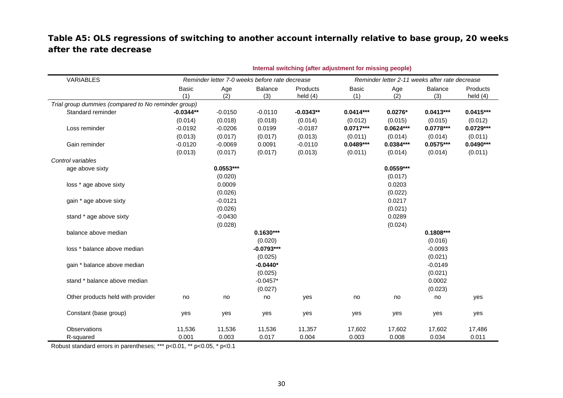# **Table A5: OLS regressions of switching to another account internally relative to base group, 20 weeks after the rate decrease**

|                                                     | Internal switching (after adjustment for missing people) |             |                                                |                        |                     |             |                                                |                        |
|-----------------------------------------------------|----------------------------------------------------------|-------------|------------------------------------------------|------------------------|---------------------|-------------|------------------------------------------------|------------------------|
| VARIABLES                                           |                                                          |             | Reminder letter 7-0 weeks before rate decrease |                        |                     |             | Reminder letter 2-11 weeks after rate decrease |                        |
|                                                     | <b>Basic</b><br>(1)                                      | Age<br>(2)  | <b>Balance</b><br>(3)                          | Products<br>held $(4)$ | <b>Basic</b><br>(1) | Age<br>(2)  | <b>Balance</b><br>(3)                          | Products<br>held $(4)$ |
| Trial group dummies (compared to No reminder group) |                                                          |             |                                                |                        |                     |             |                                                |                        |
| Standard reminder                                   | $-0.0344**$                                              | $-0.0150$   | $-0.0110$                                      | $-0.0343**$            | $0.0414***$         | $0.0276*$   | $0.0413***$                                    | $0.0415***$            |
|                                                     | (0.014)                                                  | (0.018)     | (0.018)                                        | (0.014)                | (0.012)             | (0.015)     | (0.015)                                        | (0.012)                |
| Loss reminder                                       | $-0.0192$                                                | $-0.0206$   | 0.0199                                         | $-0.0187$              | $0.0717***$         | $0.0624***$ | $0.0778***$                                    | $0.0729***$            |
|                                                     | (0.013)                                                  | (0.017)     | (0.017)                                        | (0.013)                | (0.011)             | (0.014)     | (0.014)                                        | (0.011)                |
| Gain reminder                                       | $-0.0120$                                                | $-0.0069$   | 0.0091                                         | $-0.0110$              | $0.0489***$         | $0.0384***$ | $0.0575***$                                    | $0.0490***$            |
|                                                     | (0.013)                                                  | (0.017)     | (0.017)                                        | (0.013)                | (0.011)             | (0.014)     | (0.014)                                        | (0.011)                |
| Control variables                                   |                                                          |             |                                                |                        |                     |             |                                                |                        |
| age above sixty                                     |                                                          | $0.0553***$ |                                                |                        |                     | $0.0559***$ |                                                |                        |
|                                                     |                                                          | (0.020)     |                                                |                        |                     | (0.017)     |                                                |                        |
| loss * age above sixty                              |                                                          | 0.0009      |                                                |                        |                     | 0.0203      |                                                |                        |
|                                                     |                                                          | (0.026)     |                                                |                        |                     | (0.022)     |                                                |                        |
| gain * age above sixty                              |                                                          | $-0.0121$   |                                                |                        |                     | 0.0217      |                                                |                        |
|                                                     |                                                          | (0.026)     |                                                |                        |                     | (0.021)     |                                                |                        |
| stand * age above sixty                             |                                                          | $-0.0430$   |                                                |                        |                     | 0.0289      |                                                |                        |
|                                                     |                                                          | (0.028)     |                                                |                        |                     | (0.024)     |                                                |                        |
| balance above median                                |                                                          |             | $0.1630***$                                    |                        |                     |             | $0.1808***$                                    |                        |
|                                                     |                                                          |             | (0.020)                                        |                        |                     |             | (0.016)                                        |                        |
| loss * balance above median                         |                                                          |             | $-0.0793***$                                   |                        |                     |             | $-0.0093$                                      |                        |
|                                                     |                                                          |             | (0.025)                                        |                        |                     |             | (0.021)                                        |                        |
| gain * balance above median                         |                                                          |             | $-0.0440*$                                     |                        |                     |             | $-0.0149$                                      |                        |
|                                                     |                                                          |             | (0.025)                                        |                        |                     |             | (0.021)                                        |                        |
| stand * balance above median                        |                                                          |             | $-0.0457*$                                     |                        |                     |             | 0.0002                                         |                        |
|                                                     |                                                          |             | (0.027)                                        |                        |                     |             | (0.023)                                        |                        |
| Other products held with provider                   | no                                                       | no          | no                                             | yes                    | no                  | no          | no                                             | yes                    |
| Constant (base group)                               | yes                                                      | yes         | yes                                            | yes                    | yes                 | yes         | yes                                            | yes                    |
| Observations                                        | 11,536                                                   | 11,536      | 11,536                                         | 11,357                 | 17,602              | 17,602      | 17,602                                         | 17,486                 |
| R-squared                                           | 0.001                                                    | 0.003       | 0.017                                          | 0.004                  | 0.003               | 0.008       | 0.034                                          | 0.011                  |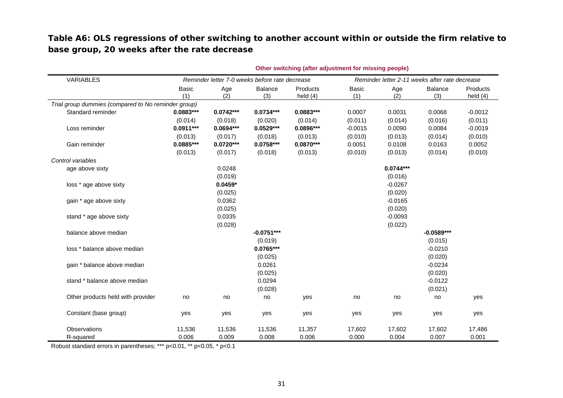# **Table A6: OLS regressions of other switching to another account within or outside the firm relative to base group, 20 weeks after the rate decrease**

|                                                     | Other switching (after adjustment for missing people) |             |                       |                        |                                                |             |                |                        |
|-----------------------------------------------------|-------------------------------------------------------|-------------|-----------------------|------------------------|------------------------------------------------|-------------|----------------|------------------------|
| VARIABLES                                           | Reminder letter 7-0 weeks before rate decrease        |             |                       |                        | Reminder letter 2-11 weeks after rate decrease |             |                |                        |
|                                                     | <b>Basic</b><br>(1)                                   | Age<br>(2)  | <b>Balance</b><br>(3) | Products<br>held $(4)$ | <b>Basic</b><br>(1)                            | Age<br>(2)  | Balance<br>(3) | Products<br>held $(4)$ |
| Trial group dummies (compared to No reminder group) |                                                       |             |                       |                        |                                                |             |                |                        |
| Standard reminder                                   | $0.0883***$                                           | $0.0742***$ | $0.0734***$           | $0.0883***$            | 0.0007                                         | 0.0031      | 0.0068         | $-0.0012$              |
|                                                     | (0.014)                                               | (0.018)     | (0.020)               | (0.014)                | (0.011)                                        | (0.014)     | (0.016)        | (0.011)                |
| Loss reminder                                       | $0.0911***$                                           | $0.0694***$ | $0.0529***$           | 0.0896***              | $-0.0015$                                      | 0.0090      | 0.0084         | $-0.0019$              |
|                                                     | (0.013)                                               | (0.017)     | (0.018)               | (0.013)                | (0.010)                                        | (0.013)     | (0.014)        | (0.010)                |
| Gain reminder                                       | 0.0885***                                             | $0.0720***$ | $0.0758***$           | $0.0870***$            | 0.0051                                         | 0.0108      | 0.0163         | 0.0052                 |
|                                                     | (0.013)                                               | (0.017)     | (0.018)               | (0.013)                | (0.010)                                        | (0.013)     | (0.014)        | (0.010)                |
| Control variables                                   |                                                       |             |                       |                        |                                                |             |                |                        |
| age above sixty                                     |                                                       | 0.0248      |                       |                        |                                                | $0.0744***$ |                |                        |
|                                                     |                                                       | (0.019)     |                       |                        |                                                | (0.016)     |                |                        |
| loss * age above sixty                              |                                                       | $0.0459*$   |                       |                        |                                                | $-0.0267$   |                |                        |
|                                                     |                                                       | (0.025)     |                       |                        |                                                | (0.020)     |                |                        |
| gain * age above sixty                              |                                                       | 0.0362      |                       |                        |                                                | $-0.0165$   |                |                        |
|                                                     |                                                       | (0.025)     |                       |                        |                                                | (0.020)     |                |                        |
| stand * age above sixty                             |                                                       | 0.0335      |                       |                        |                                                | $-0.0093$   |                |                        |
|                                                     |                                                       | (0.028)     |                       |                        |                                                | (0.022)     |                |                        |
| balance above median                                |                                                       |             | $-0.0751***$          |                        |                                                |             | $-0.0589***$   |                        |
|                                                     |                                                       |             | (0.019)               |                        |                                                |             | (0.015)        |                        |
| loss * balance above median                         |                                                       |             | $0.0765***$           |                        |                                                |             | $-0.0210$      |                        |
|                                                     |                                                       |             | (0.025)               |                        |                                                |             | (0.020)        |                        |
| gain * balance above median                         |                                                       |             | 0.0261                |                        |                                                |             | $-0.0234$      |                        |
|                                                     |                                                       |             | (0.025)               |                        |                                                |             | (0.020)        |                        |
| stand * balance above median                        |                                                       |             | 0.0294                |                        |                                                |             | $-0.0122$      |                        |
|                                                     |                                                       |             | (0.028)               |                        |                                                |             | (0.021)        |                        |
| Other products held with provider                   | no                                                    | no          | no                    | yes                    | no                                             | no          | no             | yes                    |
| Constant (base group)                               | yes                                                   | yes         | yes                   | yes                    | yes                                            | yes         | yes            | yes                    |
| Observations                                        | 11,536                                                | 11,536      | 11,536                | 11,357                 | 17,602                                         | 17,602      | 17,602         | 17,486                 |
| R-squared                                           | 0.006                                                 | 0.009       | 0.008                 | 0.006                  | 0.000                                          | 0.004       | 0.007          | 0.001                  |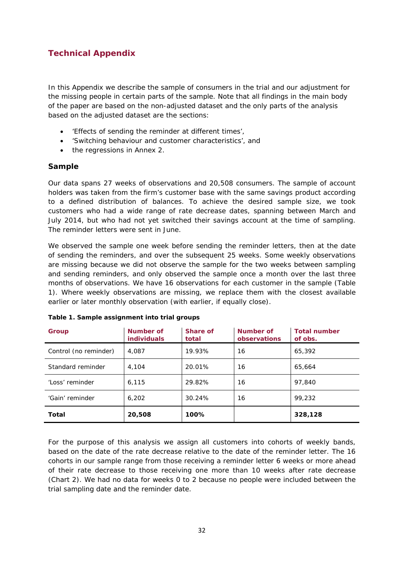# **Technical Appendix**

In this Appendix we describe the sample of consumers in the trial and our adjustment for the missing people in certain parts of the sample. Note that all findings in the main body of the paper are based on the non-adjusted dataset and the only parts of the analysis based on the adjusted dataset are the sections:

- 'Effects of sending the reminder at different times',
- 'Switching behaviour and customer characteristics', and
- the regressions in Annex 2.

#### **Sample**

Our data spans 27 weeks of observations and 20,508 consumers. The sample of account holders was taken from the firm's customer base with the same savings product according to a defined distribution of balances. To achieve the desired sample size, we took customers who had a wide range of rate decrease dates, spanning between March and July 2014, but who had not yet switched their savings account at the time of sampling. The reminder letters were sent in June.

We observed the sample one week before sending the reminder letters, then at the date of sending the reminders, and over the subsequent 25 weeks. Some weekly observations are missing because we did not observe the sample for the two weeks between sampling and sending reminders, and only observed the sample once a month over the last three months of observations. We have 16 observations for each customer in the sample (Table 1). Where weekly observations are missing, we replace them with the closest available earlier or later monthly observation (with earlier, if equally close).

| Group                 | Number of<br><b>individuals</b> | Share of<br>total | Number of<br>observations | <b>Total number</b><br>of obs. |  |  |
|-----------------------|---------------------------------|-------------------|---------------------------|--------------------------------|--|--|
| Control (no reminder) | 4,087                           | 19.93%            | 16                        | 65,392                         |  |  |
| Standard reminder     | 4,104                           | 20.01%            | 16                        | 65,664                         |  |  |
| 'Loss' reminder       | 6,115                           | 29.82%            | 16                        | 97.840                         |  |  |
| 'Gain' reminder       | 6,202                           | 30.24%            | 16                        | 99,232                         |  |  |
| Total                 | 20,508                          | 100%              |                           | 328,128                        |  |  |

#### **Table 1. Sample assignment into trial groups**

For the purpose of this analysis we assign all customers into cohorts of weekly bands, based on the date of the rate decrease relative to the date of the reminder letter. The 16 cohorts in our sample range from those receiving a reminder letter 6 weeks or more ahead of their rate decrease to those receiving one more than 10 weeks after rate decrease (Chart 2). We had no data for weeks 0 to 2 because no people were included between the trial sampling date and the reminder date.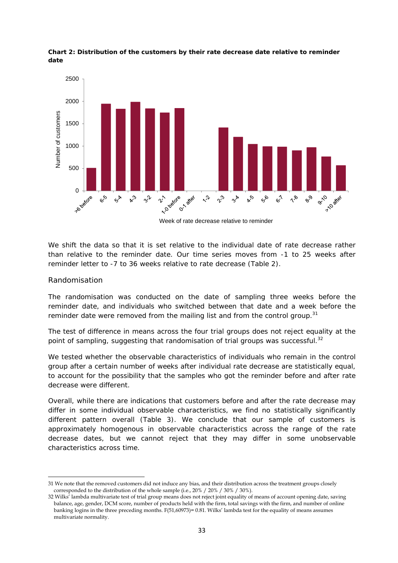

**Chart 2: Distribution of the customers by their rate decrease date relative to reminder date** 

Week of rate decrease relative to reminder

We shift the data so that it is set relative to the individual date of rate decrease rather than relative to the reminder date. Our time series moves from -1 to 25 weeks after reminder letter to -7 to 36 weeks relative to rate decrease (Table 2).

#### *Randomisation*

The randomisation was conducted on the date of sampling three weeks before the reminder date, and individuals who switched between that date and a week before the reminder date were removed from the mailing list and from the control group.<sup>31</sup>

The test of difference in means across the four trial groups does not reject equality at the point of sampling, suggesting that randomisation of trial groups was successful.<sup>32</sup>

We tested whether the observable characteristics of individuals who remain in the control group after a certain number of weeks after individual rate decrease are statistically equal, to account for the possibility that the samples who got the reminder before and after rate decrease were different.

Overall, while there are indications that customers before and after the rate decrease may differ in some individual observable characteristics, we find no statistically significantly different pattern overall (Table 3). We conclude that our sample of customers is approximately homogenous in observable characteristics across the range of the rate decrease dates, but we cannot reject that they may differ in some unobservable characteristics across time.

<sup>31</sup> We note that the removed customers did not induce any bias, and their distribution across the treatment groups closely corresponded to the distribution of the whole sample (i.e., 20% / 20% / 30% / 30%).

<sup>32</sup> Wilks' lambda multivariate test of trial group means does not reject joint equality of means of account opening date, saving balance, age, gender, DCM score, number of products held with the firm, total savings with the firm, and number of online banking logins in the three preceding months. F(51,60973)= 0.81. Wilks' lambda test for the equality of means assumes multivariate normality.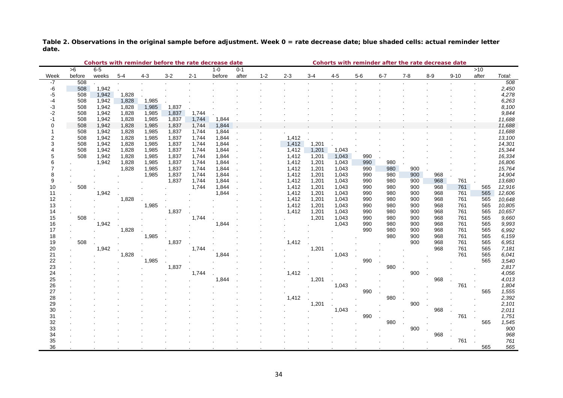**Table 2. Observations in the original sample before adjustment. Week 0 = rate decrease date; blue shaded cells: actual reminder letter date.**

|                | Cohorts with reminder before the rate decrease date |                |                |                |                | Cohorts with reminder after the rate decrease date |         |         |         |         |       |         |       |            |            |            |            |            |                |
|----------------|-----------------------------------------------------|----------------|----------------|----------------|----------------|----------------------------------------------------|---------|---------|---------|---------|-------|---------|-------|------------|------------|------------|------------|------------|----------------|
|                | $\overline{56}$                                     | $6-5$          |                |                |                |                                                    | $1 - 0$ | $0 - 1$ |         |         |       |         |       |            |            |            |            | >10        |                |
| Week           | before                                              | weeks          | $5 - 4$        | $4 - 3$        | $3-2$          | $2 - 1$                                            | before  | after   | $1 - 2$ | $2 - 3$ | $3-4$ | $4 - 5$ | $5-6$ | $6 - 7$    | $7 - 8$    | $8 - 9$    | $9 - 10$   | after      | Total:         |
| -7             | 508                                                 |                |                |                |                |                                                    |         |         |         |         |       |         |       |            |            |            |            |            | 508            |
| -6             | 508                                                 | 1,942          |                |                |                |                                                    |         |         |         |         |       |         |       |            |            |            |            |            | 2,450          |
| -5             | 508                                                 | 1,942          | 1,828          |                |                |                                                    |         |         |         |         |       |         |       |            |            |            |            |            | 4,278          |
| -4             | 508                                                 | 1,942          | 1,828          | 1,985          |                |                                                    |         |         |         |         |       |         |       |            |            |            |            |            | 6,263          |
| $-3$<br>$-2$   | 508<br>508                                          | 1,942<br>1,942 | 1,828<br>1,828 | 1,985<br>1,985 | 1,837<br>1,837 |                                                    |         |         |         |         |       |         |       |            |            |            |            |            | 8,100<br>9,844 |
| $-1$           | 508                                                 | 1,942          | 1,828          | 1,985          | 1,837          | 1,744<br>1,744                                     | 1,844   |         |         |         |       |         |       |            |            |            |            |            | 11,688         |
| $\Omega$       | 508                                                 | 1,942          | 1,828          | 1,985          | 1,837          | 1,744                                              | 1,844   |         |         |         |       |         |       |            |            |            |            |            | 11,688         |
|                | 508                                                 | 1,942          | 1,828          | 1,985          | 1,837          | 1,744                                              | 1.844   |         |         |         |       |         |       |            |            |            |            |            | 11,688         |
| $\overline{2}$ | 508                                                 | 1,942          | 1,828          | 1,985          | 1,837          | 1,744                                              | 1,844   |         |         | 1,412   |       |         |       |            |            |            |            |            | 13,100         |
| 3              | 508                                                 | 1,942          | 1,828          | 1,985          | 1,837          | 1,744                                              | 1,844   |         |         | 1,412   | 1,201 |         |       |            |            |            |            |            | 14,301         |
|                | 508                                                 | 1,942          | 1,828          | 1,985          | 1,837          | 1,744                                              | 1,844   |         |         | 1,412   | 1,201 | 1,043   |       |            |            |            |            |            | 15,344         |
| 5              | 508                                                 | 1,942          | 1,828          | 1,985          | 1,837          | 1,744                                              | 1,844   |         |         | 1,412   | 1,201 | 1,043   | 990   |            |            |            |            |            | 16,334         |
| 6              |                                                     | 1,942          | 1,828          | 1,985          | 1,837          | 1,744                                              | 1,844   |         |         | 1,412   | 1,201 | 1,043   | 990   | 980        |            |            |            |            | 16,806         |
| 7              |                                                     |                | 1,828          | 1,985          | 1,837          | 1,744                                              | 1,844   |         |         | 1,412   | 1,201 | 1,043   | 990   | 980        | 900        |            |            |            | 15,764         |
| 8              |                                                     |                |                | 1,985          | 1,837          | 1,744                                              | 1,844   |         |         | 1,412   | 1,201 | 1,043   | 990   | 980        | 900        | 968        |            |            | 14,904         |
| 9              |                                                     |                |                |                | 1,837          | 1,744                                              | 1,844   |         |         | 1,412   | 1,201 | 1,043   | 990   | 980        | 900        | 968        | 761        |            | 13,680         |
| 10             | 508                                                 |                |                |                |                | 1,744                                              | 1,844   |         |         | 1,412   | 1,201 | 1,043   | 990   | 980        | 900        | 968        | 761        | 565        | 12,916         |
| 11             |                                                     | 1,942          |                |                |                |                                                    | 1,844   |         |         | 1,412   | 1,201 | 1,043   | 990   | 980        | 900        | 968        | 761        | 565        | 12,606         |
| 12             |                                                     |                | 1,828          |                |                |                                                    |         |         |         | 1,412   | 1,201 | 1,043   | 990   | 980        | 900        | 968        | 761        | 565        | 10,648         |
| 13             |                                                     |                |                | 1,985          |                |                                                    |         |         |         | 1,412   | 1,201 | 1,043   | 990   | 980        | 900        | 968        | 761        | 565        | 10,805         |
| 14             |                                                     |                |                |                | 1,837          |                                                    |         |         |         | 1,412   | 1,201 | 1,043   | 990   | 980        | 900        | 968        | 761        | 565        | 10,657         |
| 15             | 508                                                 |                |                |                |                | 1,744                                              |         |         |         |         | 1,201 | 1,043   | 990   | 980        | 900        | 968        | 761        | 565        | 9,660          |
| 16             |                                                     | 1,942          |                |                |                |                                                    | 1,844   |         |         |         |       | 1,043   | 990   | 980        | 900        | 968        | 761        | 565        | 9,993          |
| 17             |                                                     |                | 1,828          |                |                |                                                    |         |         |         |         |       |         | 990   | 980<br>980 | 900        | 968        | 761        | 565        | 6,992          |
| 18<br>19       | 508                                                 |                |                | 1,985          | 1,837          |                                                    |         |         |         | 1,412   |       |         |       |            | 900<br>900 | 968<br>968 | 761<br>761 | 565<br>565 | 6,159<br>6,951 |
|                |                                                     | 1,942          |                |                |                | 1.744                                              |         |         |         |         | 1,201 |         |       |            |            | 968        | 761        | 565        | 7,181          |
| 20<br>21       |                                                     |                | 1,828          |                |                |                                                    | 1,844   |         |         |         |       | 1,043   |       |            |            |            | 761        | 565        | 6,041          |
| 22             |                                                     |                |                | 1,985          |                |                                                    |         |         |         |         |       |         | 990   |            |            |            |            | 565        | 3,540          |
| 23             |                                                     |                |                |                | 1,837          |                                                    |         |         |         |         |       |         |       | 980        |            |            |            |            | 2,817          |
| 24             |                                                     |                |                |                |                | 1,744                                              |         |         |         | 1,412   |       |         |       |            | 900        |            |            |            | 4,056          |
| 25             |                                                     |                |                |                |                |                                                    | 1,844   |         |         |         | 1,201 |         |       |            |            | 968        |            |            | 4,013          |
| 26             |                                                     |                |                |                |                |                                                    |         |         |         |         |       | 1,043   |       |            |            |            | 761        |            | 1,804          |
| 27             |                                                     |                |                |                |                |                                                    |         |         |         |         |       |         | 990   |            |            |            |            | 565        | 1,555          |
| 28             |                                                     |                |                |                |                |                                                    |         |         |         | 1,412   |       |         |       | 980        |            |            |            |            | 2,392          |
| 29             |                                                     |                |                |                |                |                                                    |         |         |         |         | 1,201 |         |       |            | 900        |            |            |            | 2,101          |
| 30             |                                                     |                |                |                |                |                                                    |         |         |         |         |       | 1,043   |       |            |            | 968        |            |            | 2,011          |
| 31             |                                                     |                |                |                |                |                                                    |         |         |         |         |       |         | 990   |            |            |            | 761        |            | 1,751          |
| 32             |                                                     |                |                |                |                |                                                    |         |         |         |         |       |         |       | 980        |            |            |            | 565        | 1,545          |
| 33             |                                                     |                |                |                |                |                                                    |         |         |         |         |       |         |       |            | 900        |            |            |            | 900            |
| 34             |                                                     |                |                |                |                |                                                    |         |         |         |         |       |         |       |            |            | 968        |            |            | 968            |
| 35             |                                                     |                |                |                |                |                                                    |         |         |         |         |       |         |       |            |            |            | 761        |            | 761            |
| 36             |                                                     |                |                |                |                |                                                    |         |         |         |         |       |         |       |            |            |            |            | 565        | 565            |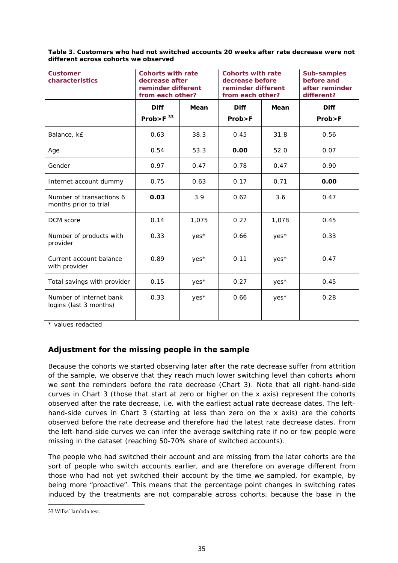#### **Table 3. Customers who had not switched accounts 20 weeks after rate decrease were not different across cohorts we observed**

| <b>Customer</b><br>characteristics                | <b>Cohorts with rate</b><br>decrease after<br>reminder different<br>from each other? |        | <b>Cohorts with rate</b><br>decrease before<br>reminder different<br>from each other? |       | <b>Sub-samples</b><br>before and<br>after reminder<br>different? |
|---------------------------------------------------|--------------------------------------------------------------------------------------|--------|---------------------------------------------------------------------------------------|-------|------------------------------------------------------------------|
|                                                   | <b>Diff</b><br>Prob>F $33$                                                           | Mean   | <b>Diff</b><br>Prob > F                                                               | Mean  | <b>Diff</b><br>Prob>F                                            |
| Balance, k£                                       | 0.63                                                                                 | 38.3   | 0.45                                                                                  | 31.8  | 0.56                                                             |
| Age                                               | 0.54                                                                                 | 53.3   | 0.00                                                                                  | 52.0  | 0.07                                                             |
| Gender                                            | 0.97                                                                                 | 0.47   | 0.78                                                                                  | 0.47  | 0.90                                                             |
| Internet account dummy                            | 0.75                                                                                 | 0.63   | 0.17                                                                                  | 0.71  | 0.00                                                             |
| Number of transactions 6<br>months prior to trial | 0.03                                                                                 | 3.9    | 0.62                                                                                  | 3.6   | 0.47                                                             |
| DCM score                                         | 0.14                                                                                 | 1,075  | 0.27                                                                                  | 1,078 | 0.45                                                             |
| Number of products with<br>provider               | 0.33                                                                                 | yes*   | 0.66                                                                                  | yes*  | 0.33                                                             |
| Current account balance<br>with provider          | 0.89                                                                                 | $Yes*$ | 0.11                                                                                  | yes*  | 0.47                                                             |
| Total savings with provider                       | 0.15                                                                                 | yes*   | 0.27                                                                                  | yes*  | 0.45                                                             |
| Number of internet bank<br>logins (last 3 months) | 0.33                                                                                 | yes*   | 0.66                                                                                  | yes*  | 0.28                                                             |

\* values redacted

# **Adjustment for the missing people in the sample**

Because the cohorts we started observing later after the rate decrease suffer from attrition of the sample, we observe that they reach much lower switching level than cohorts whom we sent the reminders before the rate decrease (Chart 3). Note that all right-hand-side curves in Chart 3 (those that start at zero or higher on the x axis) represent the cohorts observed after the rate decrease, i.e. with the earliest actual rate decrease dates. The lefthand-side curves in Chart 3 (starting at less than zero on the x axis) are the cohorts observed before the rate decrease and therefore had the latest rate decrease dates. From the left-hand-side curves we can infer the average switching rate if no or few people were missing in the dataset (reaching 50-70% share of switched accounts).

The people who had switched their account and are missing from the later cohorts are the sort of people who switch accounts earlier, and are therefore on average different from those who had not yet switched their account by the time we sampled, for example, by being more "proactive". This means that the percentage point changes in switching rates induced by the treatments are not comparable across cohorts, because the base in the

<sup>33</sup> Wilks' lambda test.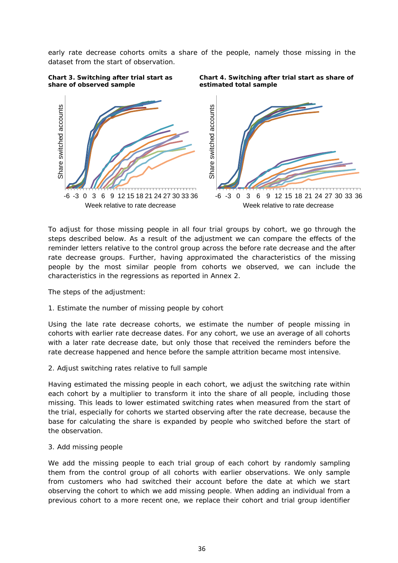early rate decrease cohorts omits a share of the people, namely those missing in the dataset from the start of observation.



**Chart 4. Switching after trial start as share of estimated total sample** 

-6 -3 0 3 6 9 12 15 18 21 24 27 30 33 36 Week relative to rate decrease

To adjust for those missing people in all four trial groups by cohort, we go through the steps described below. As a result of the adjustment we can compare the effects of the reminder letters relative to the control group across the before rate decrease and the after rate decrease groups. Further, having approximated the characteristics of the missing people by the most similar people from cohorts we observed, we can include the characteristics in the regressions as reported in Annex 2.

The steps of the adjustment:

**Chart 3. Switching after trial start as** 

#### *1. Estimate the number of missing people by cohort*

-6 -3 0 3 6 9 12 15 18 21 24 27 30 33 36

Week relative to rate decrease

Using the late rate decrease cohorts, we estimate the number of people missing in cohorts with earlier rate decrease dates. For any cohort, we use an average of all cohorts with a later rate decrease date, but only those that received the reminders before the rate decrease happened and hence before the sample attrition became most intensive.

#### *2. Adjust switching rates relative to full sample*

Having estimated the missing people in each cohort, we adjust the switching rate within each cohort by a multiplier to transform it into the share of all people, including those missing. This leads to lower estimated switching rates when measured from the start of the trial, especially for cohorts we started observing after the rate decrease, because the base for calculating the share is expanded by people who switched before the start of the observation.

#### *3. Add missing people*

We add the missing people to each trial group of each cohort by randomly sampling them from the control group of all cohorts with earlier observations. We only sample from customers who had switched their account before the date at which we start observing the cohort to which we add missing people. When adding an individual from a previous cohort to a more recent one, we replace their cohort and trial group identifier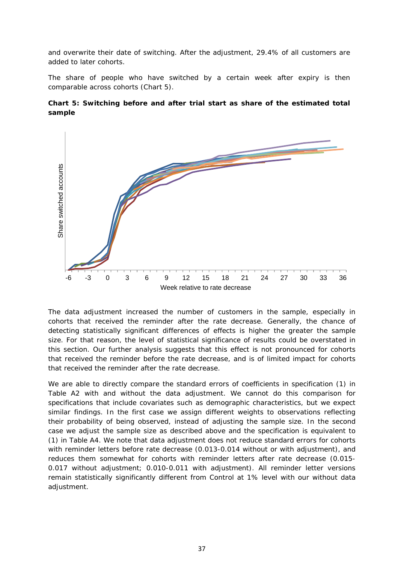and overwrite their date of switching. After the adjustment, 29.4% of all customers are added to later cohorts.

The share of people who have switched by a certain week after expiry is then comparable across cohorts (Chart 5).





The data adjustment increased the number of customers in the sample, especially in cohorts that received the reminder after the rate decrease. Generally, the chance of detecting statistically significant differences of effects is higher the greater the sample size. For that reason, the level of statistical significance of results could be overstated in this section. Our further analysis suggests that this effect is not pronounced for cohorts that received the reminder before the rate decrease, and is of limited impact for cohorts that received the reminder after the rate decrease.

We are able to directly compare the standard errors of coefficients in specification (1) in Table A2 with and without the data adjustment. We cannot do this comparison for specifications that include covariates such as demographic characteristics, but we expect similar findings. In the first case we assign different weights to observations reflecting their probability of being observed, instead of adjusting the sample size. In the second case we adjust the sample size as described above and the specification is equivalent to (1) in Table A4. We note that data adjustment does not reduce standard errors for cohorts with reminder letters before rate decrease (0.013-0.014 without or with adjustment), and reduces them somewhat for cohorts with reminder letters after rate decrease (0.015- 0.017 without adjustment; 0.010-0.011 with adjustment). All reminder letter versions remain statistically significantly different from Control at 1% level with our without data adjustment.